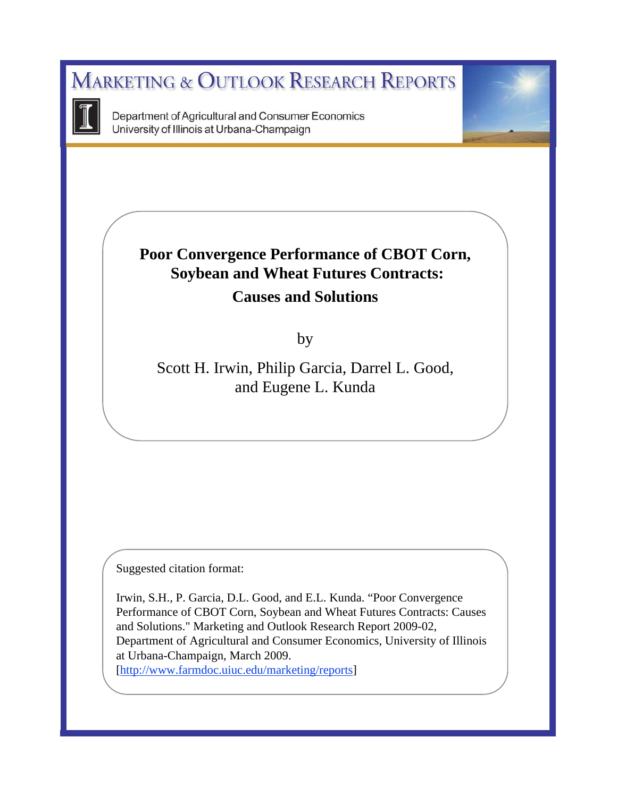**MARKETING & OUTLOOK RESEARCH REPORTS** 



Department of Agricultural and Consumer Economics University of Illinois at Urbana-Champaign

# **Poor Convergence Performance of CBOT Corn, Soybean and Wheat Futures Contracts: Causes and Solutions**

by

Scott H. Irwin, Philip Garcia, Darrel L. Good, and Eugene L. Kunda

Suggested citation format:

Irwin, S.H., P. Garcia, D.L. Good, and E.L. Kunda. "Poor Convergence Performance of CBOT Corn, Soybean and Wheat Futures Contracts: Causes and Solutions." Marketing and Outlook Research Report 2009-02, Department of Agricultural and Consumer Economics, University of Illinois at Urbana-Champaign, March 2009. [http://www.farmdoc.uiuc.edu/marketing/reports]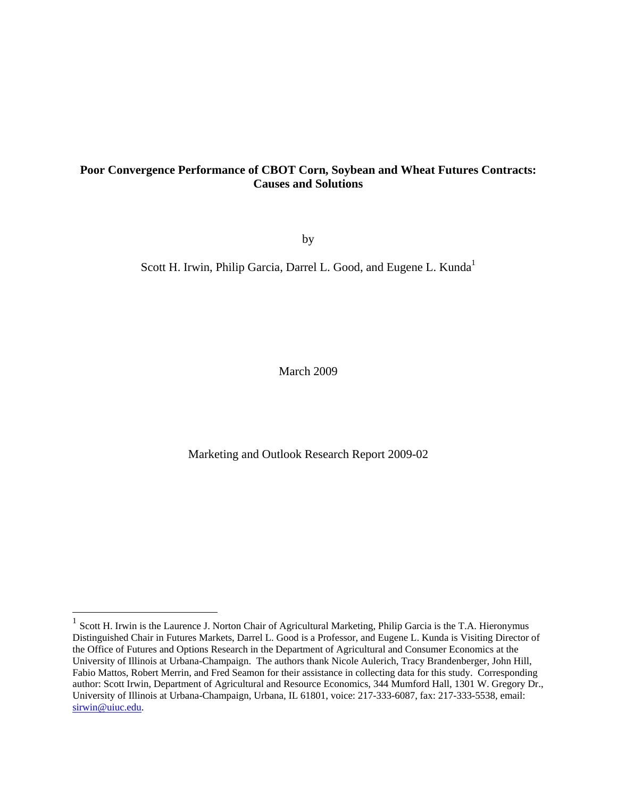## **Poor Convergence Performance of CBOT Corn, Soybean and Wheat Futures Contracts: Causes and Solutions**

by

Scott H. Irwin, Philip Garcia, Darrel L. Good, and Eugene L. Kunda<sup>1</sup>

March 2009

Marketing and Outlook Research Report 2009-02

1

 $1$  Scott H. Irwin is the Laurence J. Norton Chair of Agricultural Marketing, Philip Garcia is the T.A. Hieronymus Distinguished Chair in Futures Markets, Darrel L. Good is a Professor, and Eugene L. Kunda is Visiting Director of the Office of Futures and Options Research in the Department of Agricultural and Consumer Economics at the University of Illinois at Urbana-Champaign. The authors thank Nicole Aulerich, Tracy Brandenberger, John Hill, Fabio Mattos, Robert Merrin, and Fred Seamon for their assistance in collecting data for this study. Corresponding author: Scott Irwin, Department of Agricultural and Resource Economics, 344 Mumford Hall, 1301 W. Gregory Dr., University of Illinois at Urbana-Champaign, Urbana, IL 61801, voice: 217-333-6087, fax: 217-333-5538, email: sirwin@uiuc.edu.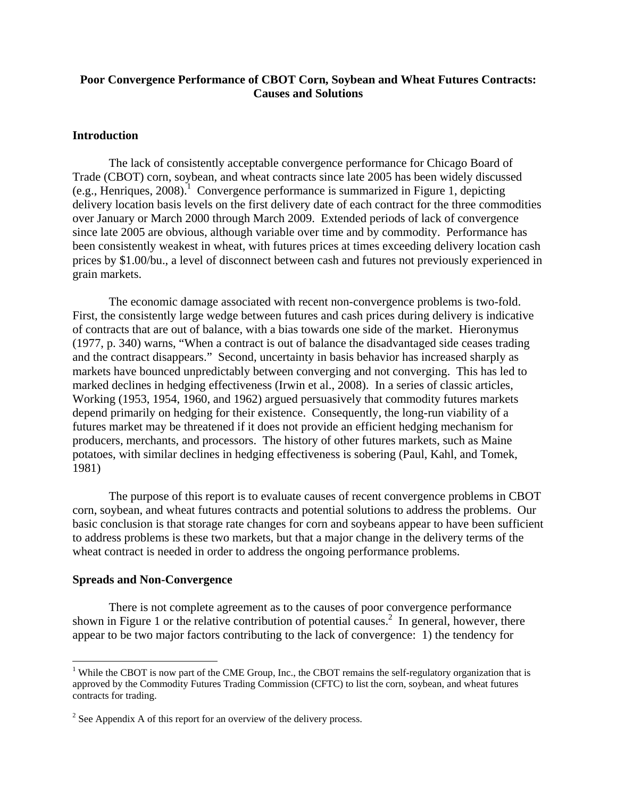## **Poor Convergence Performance of CBOT Corn, Soybean and Wheat Futures Contracts: Causes and Solutions**

## **Introduction**

The lack of consistently acceptable convergence performance for Chicago Board of Trade (CBOT) corn, soybean, and wheat contracts since late 2005 has been widely discussed  $(e.g., Henriques, 2008).$ <sup>1</sup> Convergence performance is summarized in Figure 1, depicting delivery location basis levels on the first delivery date of each contract for the three commodities over January or March 2000 through March 2009. Extended periods of lack of convergence since late 2005 are obvious, although variable over time and by commodity. Performance has been consistently weakest in wheat, with futures prices at times exceeding delivery location cash prices by \$1.00/bu., a level of disconnect between cash and futures not previously experienced in grain markets.

The economic damage associated with recent non-convergence problems is two-fold. First, the consistently large wedge between futures and cash prices during delivery is indicative of contracts that are out of balance, with a bias towards one side of the market. Hieronymus (1977, p. 340) warns, "When a contract is out of balance the disadvantaged side ceases trading and the contract disappears." Second, uncertainty in basis behavior has increased sharply as markets have bounced unpredictably between converging and not converging. This has led to marked declines in hedging effectiveness (Irwin et al., 2008). In a series of classic articles, Working (1953, 1954, 1960, and 1962) argued persuasively that commodity futures markets depend primarily on hedging for their existence. Consequently, the long-run viability of a futures market may be threatened if it does not provide an efficient hedging mechanism for producers, merchants, and processors. The history of other futures markets, such as Maine potatoes, with similar declines in hedging effectiveness is sobering (Paul, Kahl, and Tomek, 1981)

The purpose of this report is to evaluate causes of recent convergence problems in CBOT corn, soybean, and wheat futures contracts and potential solutions to address the problems. Our basic conclusion is that storage rate changes for corn and soybeans appear to have been sufficient to address problems is these two markets, but that a major change in the delivery terms of the wheat contract is needed in order to address the ongoing performance problems.

#### **Spreads and Non-Convergence**

 $\overline{a}$ 

There is not complete agreement as to the causes of poor convergence performance shown in Figure 1 or the relative contribution of potential causes.<sup>2</sup> In general, however, there appear to be two major factors contributing to the lack of convergence: 1) the tendency for

<sup>&</sup>lt;sup>1</sup> While the CBOT is now part of the CME Group, Inc., the CBOT remains the self-regulatory organization that is approved by the Commodity Futures Trading Commission (CFTC) to list the corn, soybean, and wheat futures contracts for trading.

 $2^2$  See Appendix A of this report for an overview of the delivery process.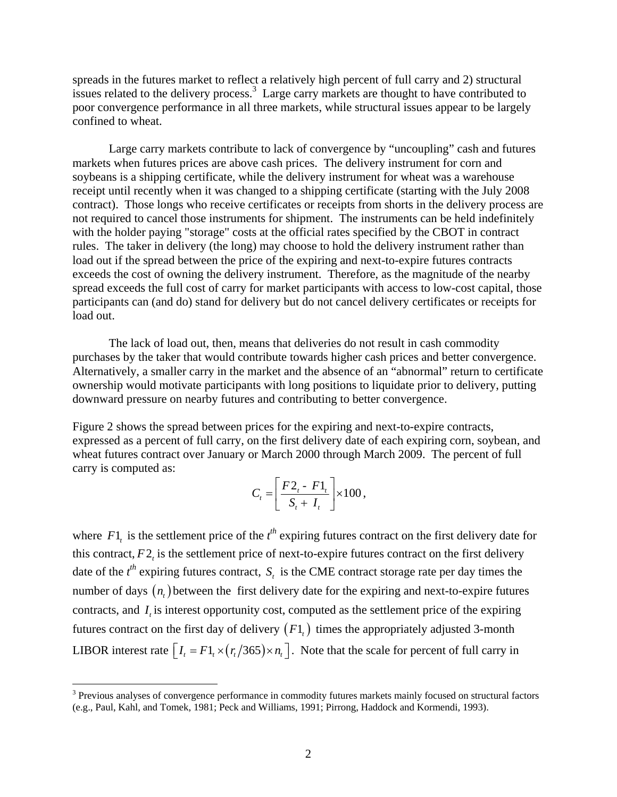spreads in the futures market to reflect a relatively high percent of full carry and 2) structural issues related to the delivery process.<sup>3</sup> Large carry markets are thought to have contributed to poor convergence performance in all three markets, while structural issues appear to be largely confined to wheat.

Large carry markets contribute to lack of convergence by "uncoupling" cash and futures markets when futures prices are above cash prices. The delivery instrument for corn and soybeans is a shipping certificate, while the delivery instrument for wheat was a warehouse receipt until recently when it was changed to a shipping certificate (starting with the July 2008 contract). Those longs who receive certificates or receipts from shorts in the delivery process are not required to cancel those instruments for shipment. The instruments can be held indefinitely with the holder paying "storage" costs at the official rates specified by the CBOT in contract rules. The taker in delivery (the long) may choose to hold the delivery instrument rather than load out if the spread between the price of the expiring and next-to-expire futures contracts exceeds the cost of owning the delivery instrument. Therefore, as the magnitude of the nearby spread exceeds the full cost of carry for market participants with access to low-cost capital, those participants can (and do) stand for delivery but do not cancel delivery certificates or receipts for load out.

The lack of load out, then, means that deliveries do not result in cash commodity purchases by the taker that would contribute towards higher cash prices and better convergence. Alternatively, a smaller carry in the market and the absence of an "abnormal" return to certificate ownership would motivate participants with long positions to liquidate prior to delivery, putting downward pressure on nearby futures and contributing to better convergence.

Figure 2 shows the spread between prices for the expiring and next-to-expire contracts, expressed as a percent of full carry, on the first delivery date of each expiring corn, soybean, and wheat futures contract over January or March 2000 through March 2009. The percent of full carry is computed as:

$$
C_t = \left[\frac{F2_t - F1_t}{S_t + I_t}\right] \times 100,
$$

where  $F1_t$  is the settlement price of the  $t^{th}$  expiring futures contract on the first delivery date for this contract,  $F2$ , is the settlement price of next-to-expire futures contract on the first delivery date of the  $t^{\text{th}}$  expiring futures contract,  $S_t$  is the CME contract storage rate per day times the number of days  $(n)$  between the first delivery date for the expiring and next-to-expire futures contracts, and *I* is interest opportunity cost, computed as the settlement price of the expiring futures contract on the first day of delivery  $(F1_t)$  times the appropriately adjusted 3-month LIBOR interest rate  $\left[I_t = F1_t \times (r_t/365) \times n_t\right]$ . Note that the scale for percent of full carry in

1

<sup>&</sup>lt;sup>3</sup> Previous analyses of convergence performance in commodity futures markets mainly focused on structural factors (e.g., Paul, Kahl, and Tomek, 1981; Peck and Williams, 1991; Pirrong, Haddock and Kormendi, 1993).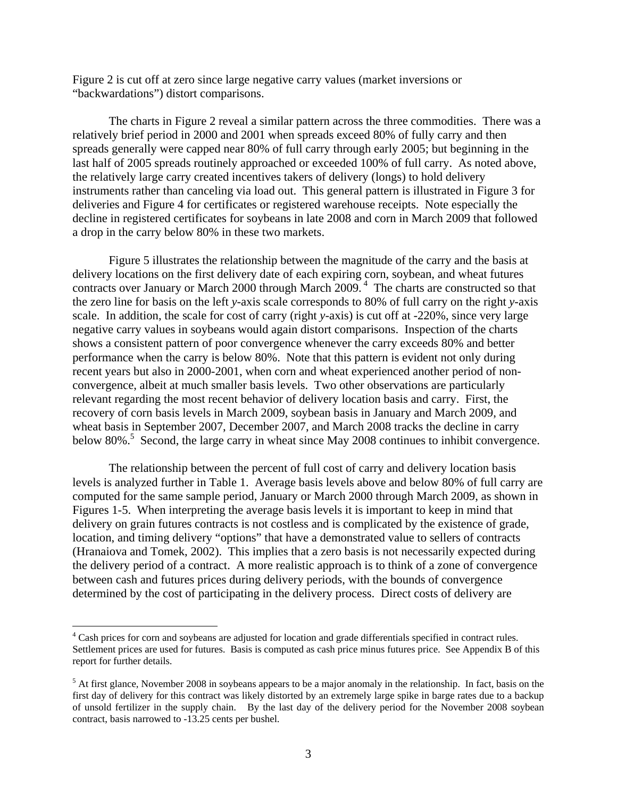Figure 2 is cut off at zero since large negative carry values (market inversions or "backwardations") distort comparisons.

The charts in Figure 2 reveal a similar pattern across the three commodities. There was a relatively brief period in 2000 and 2001 when spreads exceed 80% of fully carry and then spreads generally were capped near 80% of full carry through early 2005; but beginning in the last half of 2005 spreads routinely approached or exceeded 100% of full carry. As noted above, the relatively large carry created incentives takers of delivery (longs) to hold delivery instruments rather than canceling via load out. This general pattern is illustrated in Figure 3 for deliveries and Figure 4 for certificates or registered warehouse receipts. Note especially the decline in registered certificates for soybeans in late 2008 and corn in March 2009 that followed a drop in the carry below 80% in these two markets.

Figure 5 illustrates the relationship between the magnitude of the carry and the basis at delivery locations on the first delivery date of each expiring corn, soybean, and wheat futures contracts over January or March 2000 through March 2009.<sup>4</sup> The charts are constructed so that the zero line for basis on the left *y*-axis scale corresponds to 80% of full carry on the right *y*-axis scale. In addition, the scale for cost of carry (right *y*-axis) is cut off at -220%, since very large negative carry values in soybeans would again distort comparisons. Inspection of the charts shows a consistent pattern of poor convergence whenever the carry exceeds 80% and better performance when the carry is below 80%. Note that this pattern is evident not only during recent years but also in 2000-2001, when corn and wheat experienced another period of nonconvergence, albeit at much smaller basis levels. Two other observations are particularly relevant regarding the most recent behavior of delivery location basis and carry. First, the recovery of corn basis levels in March 2009, soybean basis in January and March 2009, and wheat basis in September 2007, December 2007, and March 2008 tracks the decline in carry below 80%.<sup>5</sup> Second, the large carry in wheat since May 2008 continues to inhibit convergence.

The relationship between the percent of full cost of carry and delivery location basis levels is analyzed further in Table 1. Average basis levels above and below 80% of full carry are computed for the same sample period, January or March 2000 through March 2009, as shown in Figures 1-5. When interpreting the average basis levels it is important to keep in mind that delivery on grain futures contracts is not costless and is complicated by the existence of grade, location, and timing delivery "options" that have a demonstrated value to sellers of contracts (Hranaiova and Tomek, 2002). This implies that a zero basis is not necessarily expected during the delivery period of a contract. A more realistic approach is to think of a zone of convergence between cash and futures prices during delivery periods, with the bounds of convergence determined by the cost of participating in the delivery process. Direct costs of delivery are

<sup>&</sup>lt;sup>4</sup> Cash prices for corn and soybeans are adjusted for location and grade differentials specified in contract rules. Settlement prices are used for futures. Basis is computed as cash price minus futures price. See Appendix B of this report for further details.

 $<sup>5</sup>$  At first glance, November 2008 in soybeans appears to be a major anomaly in the relationship. In fact, basis on the</sup> first day of delivery for this contract was likely distorted by an extremely large spike in barge rates due to a backup of unsold fertilizer in the supply chain. By the last day of the delivery period for the November 2008 soybean contract, basis narrowed to -13.25 cents per bushel.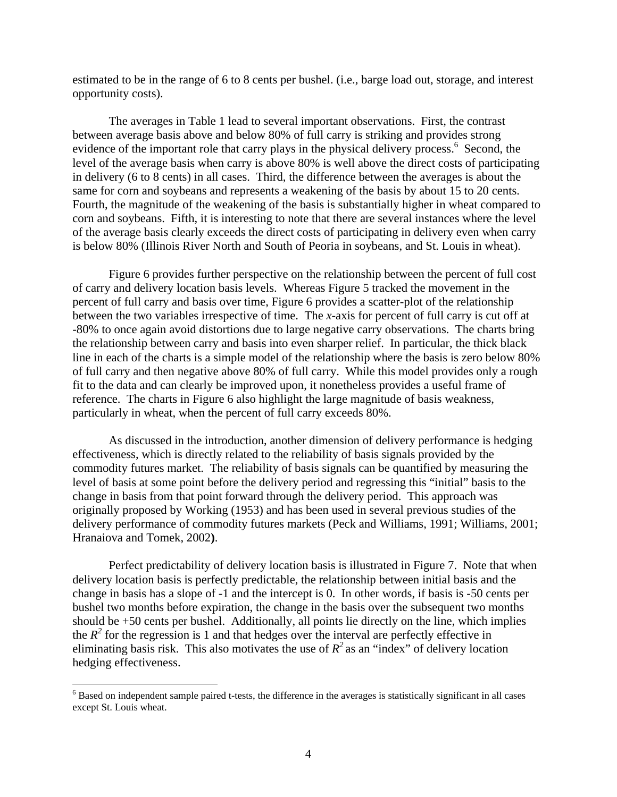estimated to be in the range of 6 to 8 cents per bushel. (i.e., barge load out, storage, and interest opportunity costs).

The averages in Table 1 lead to several important observations. First, the contrast between average basis above and below 80% of full carry is striking and provides strong evidence of the important role that carry plays in the physical delivery process.<sup>6</sup> Second, the level of the average basis when carry is above 80% is well above the direct costs of participating in delivery (6 to 8 cents) in all cases. Third, the difference between the averages is about the same for corn and soybeans and represents a weakening of the basis by about 15 to 20 cents. Fourth, the magnitude of the weakening of the basis is substantially higher in wheat compared to corn and soybeans. Fifth, it is interesting to note that there are several instances where the level of the average basis clearly exceeds the direct costs of participating in delivery even when carry is below 80% (Illinois River North and South of Peoria in soybeans, and St. Louis in wheat).

Figure 6 provides further perspective on the relationship between the percent of full cost of carry and delivery location basis levels. Whereas Figure 5 tracked the movement in the percent of full carry and basis over time, Figure 6 provides a scatter-plot of the relationship between the two variables irrespective of time. The *x*-axis for percent of full carry is cut off at -80% to once again avoid distortions due to large negative carry observations. The charts bring the relationship between carry and basis into even sharper relief. In particular, the thick black line in each of the charts is a simple model of the relationship where the basis is zero below 80% of full carry and then negative above 80% of full carry. While this model provides only a rough fit to the data and can clearly be improved upon, it nonetheless provides a useful frame of reference. The charts in Figure 6 also highlight the large magnitude of basis weakness, particularly in wheat, when the percent of full carry exceeds 80%.

As discussed in the introduction, another dimension of delivery performance is hedging effectiveness, which is directly related to the reliability of basis signals provided by the commodity futures market. The reliability of basis signals can be quantified by measuring the level of basis at some point before the delivery period and regressing this "initial" basis to the change in basis from that point forward through the delivery period. This approach was originally proposed by Working (1953) and has been used in several previous studies of the delivery performance of commodity futures markets (Peck and Williams, 1991; Williams, 2001; Hranaiova and Tomek, 2002**)**.

Perfect predictability of delivery location basis is illustrated in Figure 7. Note that when delivery location basis is perfectly predictable, the relationship between initial basis and the change in basis has a slope of -1 and the intercept is 0. In other words, if basis is -50 cents per bushel two months before expiration, the change in the basis over the subsequent two months should be +50 cents per bushel. Additionally, all points lie directly on the line, which implies the  $R^2$  for the regression is 1 and that hedges over the interval are perfectly effective in eliminating basis risk. This also motivates the use of  $R^2$  as an "index" of delivery location hedging effectiveness.

 $6$  Based on independent sample paired t-tests, the difference in the averages is statistically significant in all cases except St. Louis wheat.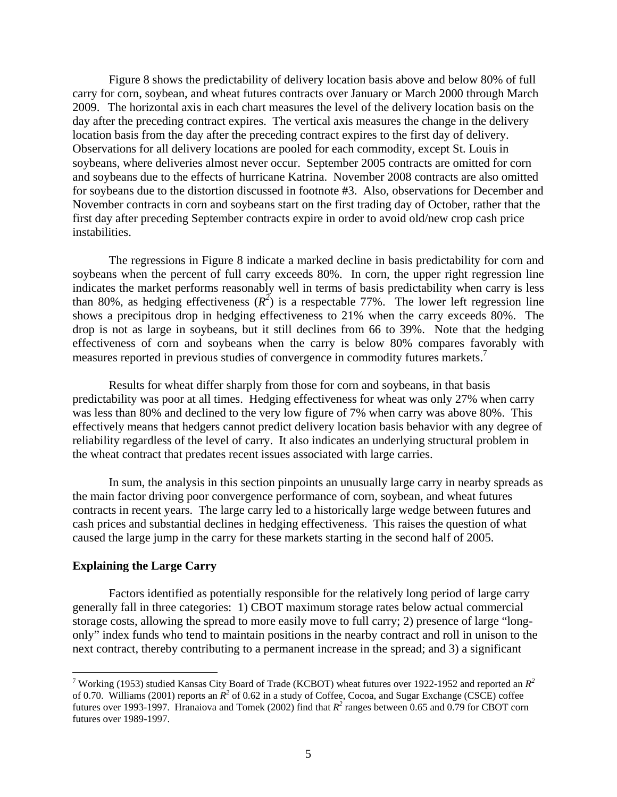Figure 8 shows the predictability of delivery location basis above and below 80% of full carry for corn, soybean, and wheat futures contracts over January or March 2000 through March 2009. The horizontal axis in each chart measures the level of the delivery location basis on the day after the preceding contract expires. The vertical axis measures the change in the delivery location basis from the day after the preceding contract expires to the first day of delivery. Observations for all delivery locations are pooled for each commodity, except St. Louis in soybeans, where deliveries almost never occur. September 2005 contracts are omitted for corn and soybeans due to the effects of hurricane Katrina. November 2008 contracts are also omitted for soybeans due to the distortion discussed in footnote #3. Also, observations for December and November contracts in corn and soybeans start on the first trading day of October, rather that the first day after preceding September contracts expire in order to avoid old/new crop cash price instabilities.

The regressions in Figure 8 indicate a marked decline in basis predictability for corn and soybeans when the percent of full carry exceeds 80%. In corn, the upper right regression line indicates the market performs reasonably well in terms of basis predictability when carry is less than 80%, as hedging effectiveness  $(R^2)$  is a respectable 77%. The lower left regression line shows a precipitous drop in hedging effectiveness to 21% when the carry exceeds 80%. The drop is not as large in soybeans, but it still declines from 66 to 39%. Note that the hedging effectiveness of corn and soybeans when the carry is below 80% compares favorably with measures reported in previous studies of convergence in commodity futures markets.<sup>7</sup>

Results for wheat differ sharply from those for corn and soybeans, in that basis predictability was poor at all times. Hedging effectiveness for wheat was only 27% when carry was less than 80% and declined to the very low figure of 7% when carry was above 80%. This effectively means that hedgers cannot predict delivery location basis behavior with any degree of reliability regardless of the level of carry. It also indicates an underlying structural problem in the wheat contract that predates recent issues associated with large carries.

In sum, the analysis in this section pinpoints an unusually large carry in nearby spreads as the main factor driving poor convergence performance of corn, soybean, and wheat futures contracts in recent years. The large carry led to a historically large wedge between futures and cash prices and substantial declines in hedging effectiveness. This raises the question of what caused the large jump in the carry for these markets starting in the second half of 2005.

#### **Explaining the Large Carry**

<u>.</u>

Factors identified as potentially responsible for the relatively long period of large carry generally fall in three categories: 1) CBOT maximum storage rates below actual commercial storage costs, allowing the spread to more easily move to full carry; 2) presence of large "longonly" index funds who tend to maintain positions in the nearby contract and roll in unison to the next contract, thereby contributing to a permanent increase in the spread; and 3) a significant

<sup>&</sup>lt;sup>7</sup> Working (1953) studied Kansas City Board of Trade (KCBOT) wheat futures over 1922-1952 and reported an  $R^2$ of 0.70. Williams (2001) reports an  $R^2$  of 0.62 in a study of Coffee, Cocoa, and Sugar Exchange (CSCE) coffee futures over 1993-1997. Hranaiova and Tomek (2002) find that  $R^2$  ranges between 0.65 and 0.79 for CBOT corn futures over 1989-1997.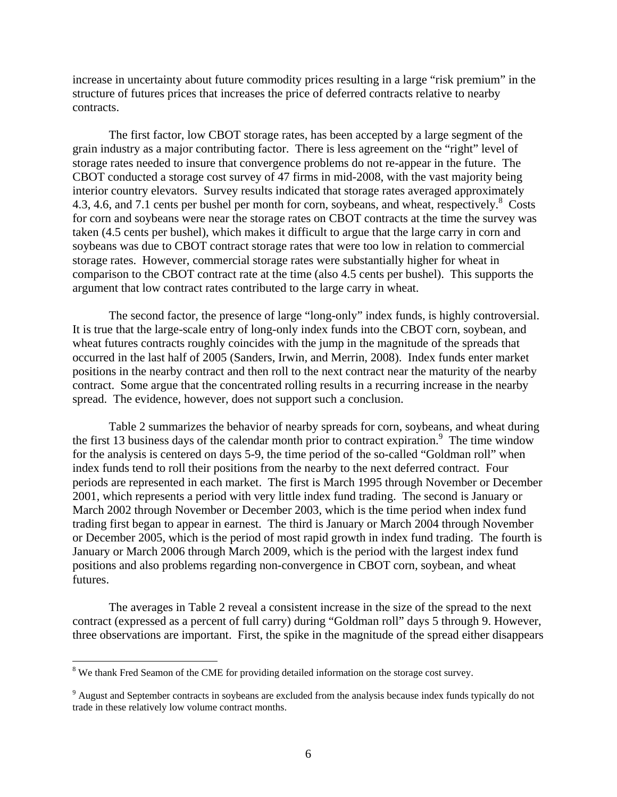increase in uncertainty about future commodity prices resulting in a large "risk premium" in the structure of futures prices that increases the price of deferred contracts relative to nearby contracts.

The first factor, low CBOT storage rates, has been accepted by a large segment of the grain industry as a major contributing factor. There is less agreement on the "right" level of storage rates needed to insure that convergence problems do not re-appear in the future. The CBOT conducted a storage cost survey of 47 firms in mid-2008, with the vast majority being interior country elevators. Survey results indicated that storage rates averaged approximately 4.3, 4.6, and 7.1 cents per bushel per month for corn, soybeans, and wheat, respectively.<sup>8</sup> Costs for corn and soybeans were near the storage rates on CBOT contracts at the time the survey was taken (4.5 cents per bushel), which makes it difficult to argue that the large carry in corn and soybeans was due to CBOT contract storage rates that were too low in relation to commercial storage rates. However, commercial storage rates were substantially higher for wheat in comparison to the CBOT contract rate at the time (also 4.5 cents per bushel). This supports the argument that low contract rates contributed to the large carry in wheat.

The second factor, the presence of large "long-only" index funds, is highly controversial. It is true that the large-scale entry of long-only index funds into the CBOT corn, soybean, and wheat futures contracts roughly coincides with the jump in the magnitude of the spreads that occurred in the last half of 2005 (Sanders, Irwin, and Merrin, 2008). Index funds enter market positions in the nearby contract and then roll to the next contract near the maturity of the nearby contract. Some argue that the concentrated rolling results in a recurring increase in the nearby spread. The evidence, however, does not support such a conclusion.

Table 2 summarizes the behavior of nearby spreads for corn, soybeans, and wheat during the first 13 business days of the calendar month prior to contract expiration.<sup>9</sup> The time window for the analysis is centered on days 5-9, the time period of the so-called "Goldman roll" when index funds tend to roll their positions from the nearby to the next deferred contract. Four periods are represented in each market. The first is March 1995 through November or December 2001, which represents a period with very little index fund trading. The second is January or March 2002 through November or December 2003, which is the time period when index fund trading first began to appear in earnest. The third is January or March 2004 through November or December 2005, which is the period of most rapid growth in index fund trading. The fourth is January or March 2006 through March 2009, which is the period with the largest index fund positions and also problems regarding non-convergence in CBOT corn, soybean, and wheat futures.

The averages in Table 2 reveal a consistent increase in the size of the spread to the next contract (expressed as a percent of full carry) during "Goldman roll" days 5 through 9. However, three observations are important. First, the spike in the magnitude of the spread either disappears

1

<sup>&</sup>lt;sup>8</sup> We thank Fred Seamon of the CME for providing detailed information on the storage cost survey.

<sup>&</sup>lt;sup>9</sup> August and September contracts in soybeans are excluded from the analysis because index funds typically do not trade in these relatively low volume contract months.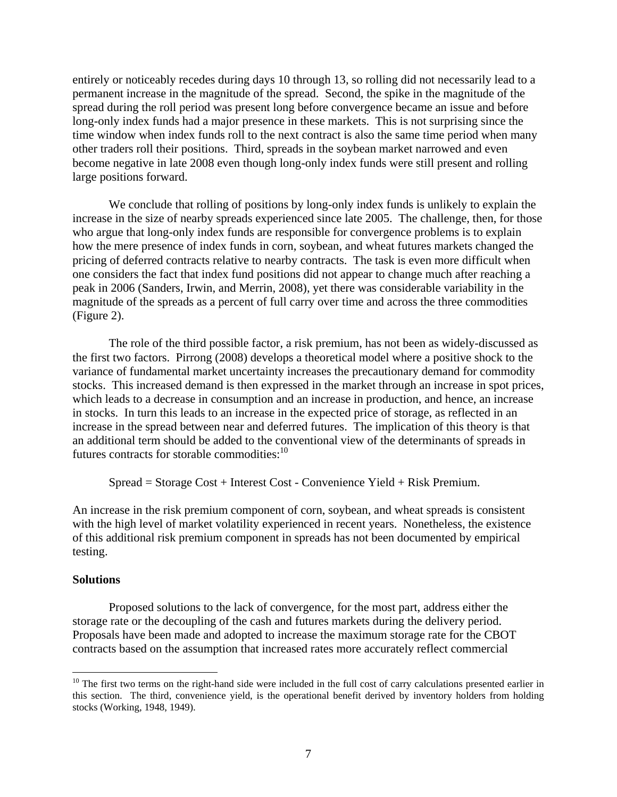entirely or noticeably recedes during days 10 through 13, so rolling did not necessarily lead to a permanent increase in the magnitude of the spread. Second, the spike in the magnitude of the spread during the roll period was present long before convergence became an issue and before long-only index funds had a major presence in these markets. This is not surprising since the time window when index funds roll to the next contract is also the same time period when many other traders roll their positions. Third, spreads in the soybean market narrowed and even become negative in late 2008 even though long-only index funds were still present and rolling large positions forward.

We conclude that rolling of positions by long-only index funds is unlikely to explain the increase in the size of nearby spreads experienced since late 2005. The challenge, then, for those who argue that long-only index funds are responsible for convergence problems is to explain how the mere presence of index funds in corn, soybean, and wheat futures markets changed the pricing of deferred contracts relative to nearby contracts. The task is even more difficult when one considers the fact that index fund positions did not appear to change much after reaching a peak in 2006 (Sanders, Irwin, and Merrin, 2008), yet there was considerable variability in the magnitude of the spreads as a percent of full carry over time and across the three commodities (Figure 2).

The role of the third possible factor, a risk premium, has not been as widely-discussed as the first two factors. Pirrong (2008) develops a theoretical model where a positive shock to the variance of fundamental market uncertainty increases the precautionary demand for commodity stocks. This increased demand is then expressed in the market through an increase in spot prices, which leads to a decrease in consumption and an increase in production, and hence, an increase in stocks. In turn this leads to an increase in the expected price of storage, as reflected in an increase in the spread between near and deferred futures. The implication of this theory is that an additional term should be added to the conventional view of the determinants of spreads in futures contracts for storable commodities: $10$ 

Spread = Storage Cost + Interest Cost - Convenience Yield + Risk Premium.

An increase in the risk premium component of corn, soybean, and wheat spreads is consistent with the high level of market volatility experienced in recent years. Nonetheless, the existence of this additional risk premium component in spreads has not been documented by empirical testing.

## **Solutions**

 $\overline{a}$ 

Proposed solutions to the lack of convergence, for the most part, address either the storage rate or the decoupling of the cash and futures markets during the delivery period. Proposals have been made and adopted to increase the maximum storage rate for the CBOT contracts based on the assumption that increased rates more accurately reflect commercial

 $10$  The first two terms on the right-hand side were included in the full cost of carry calculations presented earlier in this section. The third, convenience yield, is the operational benefit derived by inventory holders from holding stocks (Working, 1948, 1949).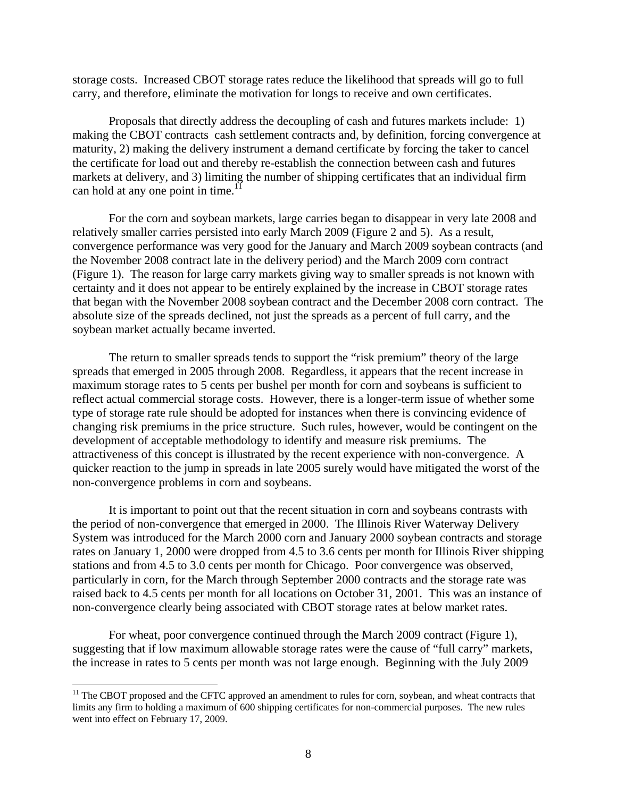storage costs. Increased CBOT storage rates reduce the likelihood that spreads will go to full carry, and therefore, eliminate the motivation for longs to receive and own certificates.

Proposals that directly address the decoupling of cash and futures markets include: 1) making the CBOT contracts cash settlement contracts and, by definition, forcing convergence at maturity, 2) making the delivery instrument a demand certificate by forcing the taker to cancel the certificate for load out and thereby re-establish the connection between cash and futures markets at delivery, and 3) limiting the number of shipping certificates that an individual firm can hold at any one point in time.<sup>11</sup>

For the corn and soybean markets, large carries began to disappear in very late 2008 and relatively smaller carries persisted into early March 2009 (Figure 2 and 5). As a result, convergence performance was very good for the January and March 2009 soybean contracts (and the November 2008 contract late in the delivery period) and the March 2009 corn contract (Figure 1). The reason for large carry markets giving way to smaller spreads is not known with certainty and it does not appear to be entirely explained by the increase in CBOT storage rates that began with the November 2008 soybean contract and the December 2008 corn contract. The absolute size of the spreads declined, not just the spreads as a percent of full carry, and the soybean market actually became inverted.

The return to smaller spreads tends to support the "risk premium" theory of the large spreads that emerged in 2005 through 2008. Regardless, it appears that the recent increase in maximum storage rates to 5 cents per bushel per month for corn and soybeans is sufficient to reflect actual commercial storage costs. However, there is a longer-term issue of whether some type of storage rate rule should be adopted for instances when there is convincing evidence of changing risk premiums in the price structure. Such rules, however, would be contingent on the development of acceptable methodology to identify and measure risk premiums. The attractiveness of this concept is illustrated by the recent experience with non-convergence. A quicker reaction to the jump in spreads in late 2005 surely would have mitigated the worst of the non-convergence problems in corn and soybeans.

It is important to point out that the recent situation in corn and soybeans contrasts with the period of non-convergence that emerged in 2000. The Illinois River Waterway Delivery System was introduced for the March 2000 corn and January 2000 soybean contracts and storage rates on January 1, 2000 were dropped from 4.5 to 3.6 cents per month for Illinois River shipping stations and from 4.5 to 3.0 cents per month for Chicago. Poor convergence was observed, particularly in corn, for the March through September 2000 contracts and the storage rate was raised back to 4.5 cents per month for all locations on October 31, 2001. This was an instance of non-convergence clearly being associated with CBOT storage rates at below market rates.

For wheat, poor convergence continued through the March 2009 contract (Figure 1), suggesting that if low maximum allowable storage rates were the cause of "full carry" markets, the increase in rates to 5 cents per month was not large enough. Beginning with the July 2009

1

<sup>&</sup>lt;sup>11</sup> The CBOT proposed and the CFTC approved an amendment to rules for corn, soybean, and wheat contracts that limits any firm to holding a maximum of 600 shipping certificates for non-commercial purposes. The new rules went into effect on February 17, 2009.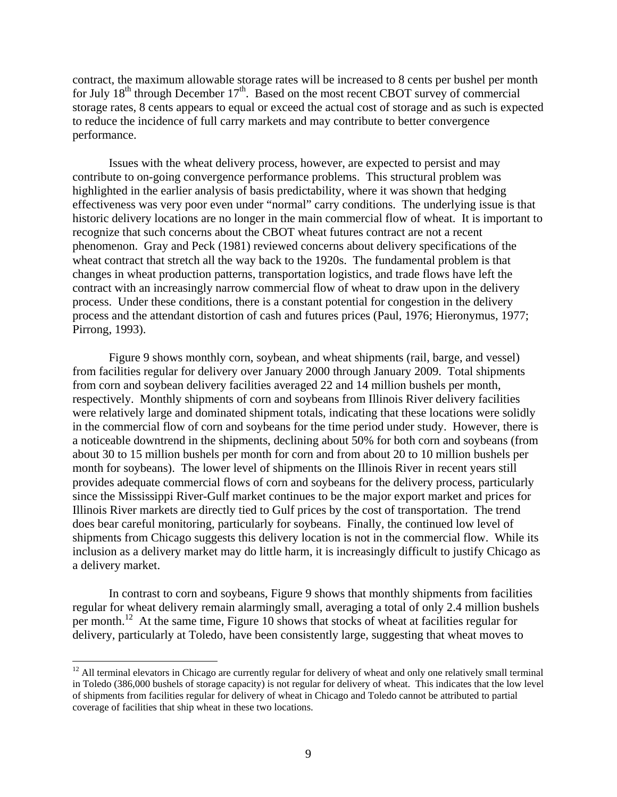contract, the maximum allowable storage rates will be increased to 8 cents per bushel per month for July  $18<sup>th</sup>$  through December  $17<sup>th</sup>$ . Based on the most recent CBOT survey of commercial storage rates, 8 cents appears to equal or exceed the actual cost of storage and as such is expected to reduce the incidence of full carry markets and may contribute to better convergence performance.

Issues with the wheat delivery process, however, are expected to persist and may contribute to on-going convergence performance problems. This structural problem was highlighted in the earlier analysis of basis predictability, where it was shown that hedging effectiveness was very poor even under "normal" carry conditions. The underlying issue is that historic delivery locations are no longer in the main commercial flow of wheat. It is important to recognize that such concerns about the CBOT wheat futures contract are not a recent phenomenon. Gray and Peck (1981) reviewed concerns about delivery specifications of the wheat contract that stretch all the way back to the 1920s. The fundamental problem is that changes in wheat production patterns, transportation logistics, and trade flows have left the contract with an increasingly narrow commercial flow of wheat to draw upon in the delivery process. Under these conditions, there is a constant potential for congestion in the delivery process and the attendant distortion of cash and futures prices (Paul, 1976; Hieronymus, 1977; Pirrong, 1993).

Figure 9 shows monthly corn, soybean, and wheat shipments (rail, barge, and vessel) from facilities regular for delivery over January 2000 through January 2009. Total shipments from corn and soybean delivery facilities averaged 22 and 14 million bushels per month, respectively. Monthly shipments of corn and soybeans from Illinois River delivery facilities were relatively large and dominated shipment totals, indicating that these locations were solidly in the commercial flow of corn and soybeans for the time period under study. However, there is a noticeable downtrend in the shipments, declining about 50% for both corn and soybeans (from about 30 to 15 million bushels per month for corn and from about 20 to 10 million bushels per month for soybeans). The lower level of shipments on the Illinois River in recent years still provides adequate commercial flows of corn and soybeans for the delivery process, particularly since the Mississippi River-Gulf market continues to be the major export market and prices for Illinois River markets are directly tied to Gulf prices by the cost of transportation. The trend does bear careful monitoring, particularly for soybeans. Finally, the continued low level of shipments from Chicago suggests this delivery location is not in the commercial flow. While its inclusion as a delivery market may do little harm, it is increasingly difficult to justify Chicago as a delivery market.

In contrast to corn and soybeans, Figure 9 shows that monthly shipments from facilities regular for wheat delivery remain alarmingly small, averaging a total of only 2.4 million bushels per month.<sup>12</sup> At the same time, Figure 10 shows that stocks of wheat at facilities regular for delivery, particularly at Toledo, have been consistently large, suggesting that wheat moves to

 $12$  All terminal elevators in Chicago are currently regular for delivery of wheat and only one relatively small terminal in Toledo (386,000 bushels of storage capacity) is not regular for delivery of wheat. This indicates that the low level of shipments from facilities regular for delivery of wheat in Chicago and Toledo cannot be attributed to partial coverage of facilities that ship wheat in these two locations.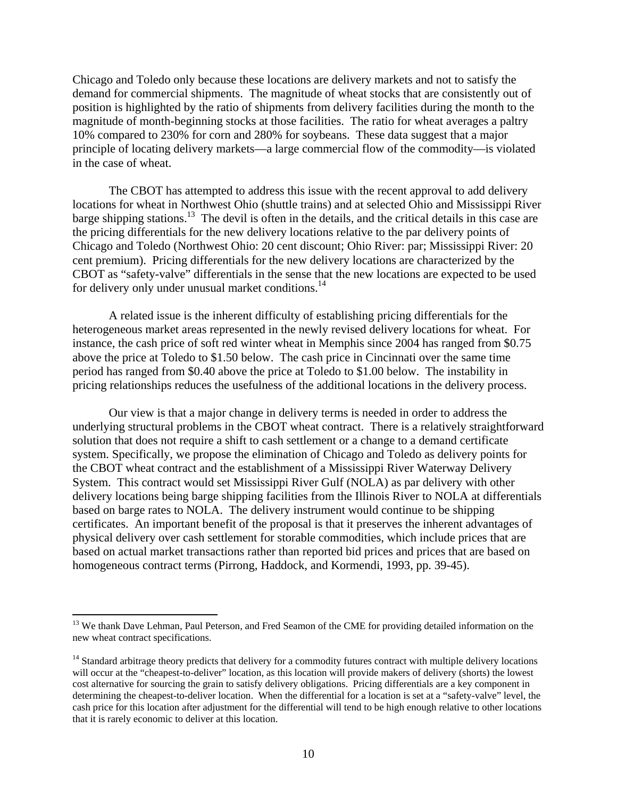Chicago and Toledo only because these locations are delivery markets and not to satisfy the demand for commercial shipments. The magnitude of wheat stocks that are consistently out of position is highlighted by the ratio of shipments from delivery facilities during the month to the magnitude of month-beginning stocks at those facilities. The ratio for wheat averages a paltry 10% compared to 230% for corn and 280% for soybeans. These data suggest that a major principle of locating delivery markets—a large commercial flow of the commodity—is violated in the case of wheat.

The CBOT has attempted to address this issue with the recent approval to add delivery locations for wheat in Northwest Ohio (shuttle trains) and at selected Ohio and Mississippi River barge shipping stations.<sup>13</sup> The devil is often in the details, and the critical details in this case are the pricing differentials for the new delivery locations relative to the par delivery points of Chicago and Toledo (Northwest Ohio: 20 cent discount; Ohio River: par; Mississippi River: 20 cent premium). Pricing differentials for the new delivery locations are characterized by the CBOT as "safety-valve" differentials in the sense that the new locations are expected to be used for delivery only under unusual market conditions.<sup>14</sup>

A related issue is the inherent difficulty of establishing pricing differentials for the heterogeneous market areas represented in the newly revised delivery locations for wheat. For instance, the cash price of soft red winter wheat in Memphis since 2004 has ranged from \$0.75 above the price at Toledo to \$1.50 below. The cash price in Cincinnati over the same time period has ranged from \$0.40 above the price at Toledo to \$1.00 below. The instability in pricing relationships reduces the usefulness of the additional locations in the delivery process.

Our view is that a major change in delivery terms is needed in order to address the underlying structural problems in the CBOT wheat contract. There is a relatively straightforward solution that does not require a shift to cash settlement or a change to a demand certificate system. Specifically, we propose the elimination of Chicago and Toledo as delivery points for the CBOT wheat contract and the establishment of a Mississippi River Waterway Delivery System. This contract would set Mississippi River Gulf (NOLA) as par delivery with other delivery locations being barge shipping facilities from the Illinois River to NOLA at differentials based on barge rates to NOLA. The delivery instrument would continue to be shipping certificates. An important benefit of the proposal is that it preserves the inherent advantages of physical delivery over cash settlement for storable commodities, which include prices that are based on actual market transactions rather than reported bid prices and prices that are based on homogeneous contract terms (Pirrong, Haddock, and Kormendi, 1993, pp. 39-45).

<sup>&</sup>lt;sup>13</sup> We thank Dave Lehman, Paul Peterson, and Fred Seamon of the CME for providing detailed information on the new wheat contract specifications.

<sup>&</sup>lt;sup>14</sup> Standard arbitrage theory predicts that delivery for a commodity futures contract with multiple delivery locations will occur at the "cheapest-to-deliver" location, as this location will provide makers of delivery (shorts) the lowest cost alternative for sourcing the grain to satisfy delivery obligations. Pricing differentials are a key component in determining the cheapest-to-deliver location. When the differential for a location is set at a "safety-valve" level, the cash price for this location after adjustment for the differential will tend to be high enough relative to other locations that it is rarely economic to deliver at this location.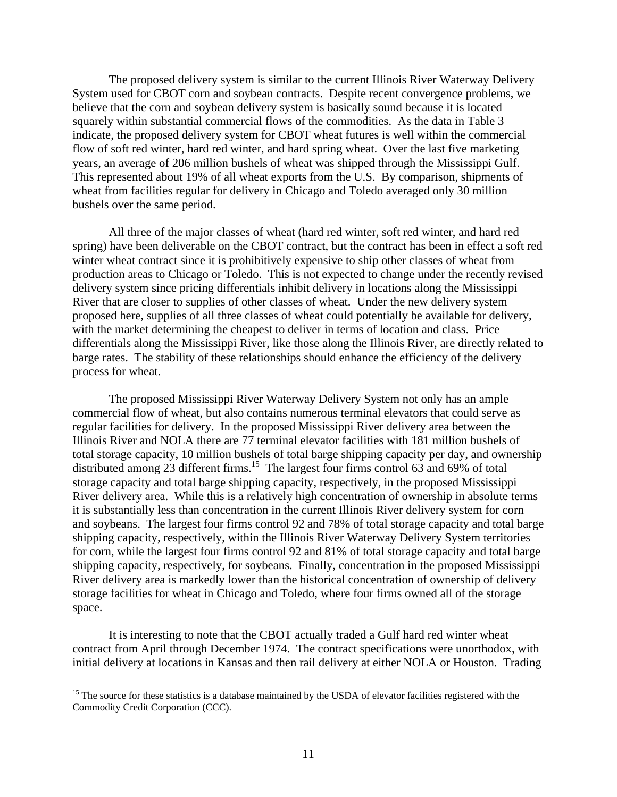The proposed delivery system is similar to the current Illinois River Waterway Delivery System used for CBOT corn and soybean contracts. Despite recent convergence problems, we believe that the corn and soybean delivery system is basically sound because it is located squarely within substantial commercial flows of the commodities. As the data in Table 3 indicate, the proposed delivery system for CBOT wheat futures is well within the commercial flow of soft red winter, hard red winter, and hard spring wheat. Over the last five marketing years, an average of 206 million bushels of wheat was shipped through the Mississippi Gulf. This represented about 19% of all wheat exports from the U.S. By comparison, shipments of wheat from facilities regular for delivery in Chicago and Toledo averaged only 30 million bushels over the same period.

All three of the major classes of wheat (hard red winter, soft red winter, and hard red spring) have been deliverable on the CBOT contract, but the contract has been in effect a soft red winter wheat contract since it is prohibitively expensive to ship other classes of wheat from production areas to Chicago or Toledo. This is not expected to change under the recently revised delivery system since pricing differentials inhibit delivery in locations along the Mississippi River that are closer to supplies of other classes of wheat. Under the new delivery system proposed here, supplies of all three classes of wheat could potentially be available for delivery, with the market determining the cheapest to deliver in terms of location and class. Price differentials along the Mississippi River, like those along the Illinois River, are directly related to barge rates. The stability of these relationships should enhance the efficiency of the delivery process for wheat.

The proposed Mississippi River Waterway Delivery System not only has an ample commercial flow of wheat, but also contains numerous terminal elevators that could serve as regular facilities for delivery. In the proposed Mississippi River delivery area between the Illinois River and NOLA there are 77 terminal elevator facilities with 181 million bushels of total storage capacity, 10 million bushels of total barge shipping capacity per day, and ownership distributed among 23 different firms.<sup>15</sup> The largest four firms control 63 and 69% of total storage capacity and total barge shipping capacity, respectively, in the proposed Mississippi River delivery area. While this is a relatively high concentration of ownership in absolute terms it is substantially less than concentration in the current Illinois River delivery system for corn and soybeans. The largest four firms control 92 and 78% of total storage capacity and total barge shipping capacity, respectively, within the Illinois River Waterway Delivery System territories for corn, while the largest four firms control 92 and 81% of total storage capacity and total barge shipping capacity, respectively, for soybeans. Finally, concentration in the proposed Mississippi River delivery area is markedly lower than the historical concentration of ownership of delivery storage facilities for wheat in Chicago and Toledo, where four firms owned all of the storage space.

It is interesting to note that the CBOT actually traded a Gulf hard red winter wheat contract from April through December 1974. The contract specifications were unorthodox, with initial delivery at locations in Kansas and then rail delivery at either NOLA or Houston. Trading

<sup>&</sup>lt;sup>15</sup> The source for these statistics is a database maintained by the USDA of elevator facilities registered with the Commodity Credit Corporation (CCC).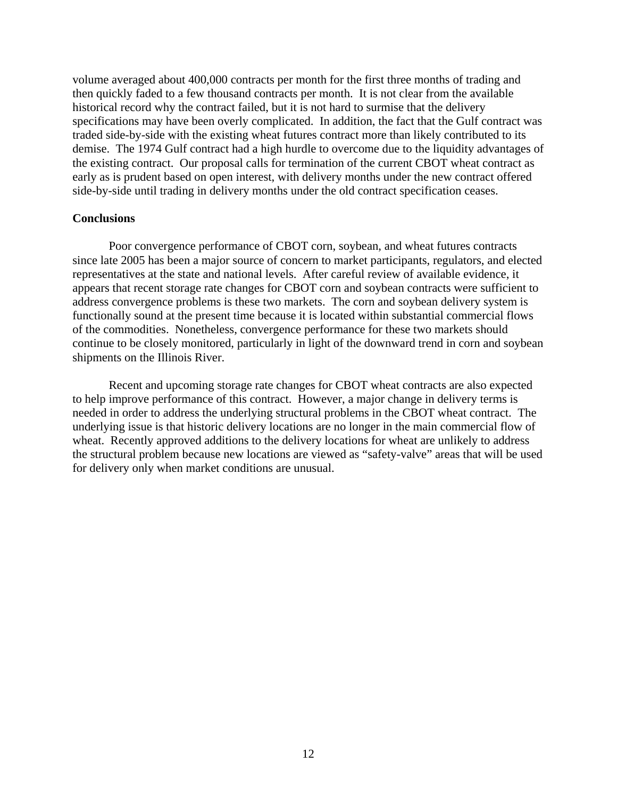volume averaged about 400,000 contracts per month for the first three months of trading and then quickly faded to a few thousand contracts per month. It is not clear from the available historical record why the contract failed, but it is not hard to surmise that the delivery specifications may have been overly complicated. In addition, the fact that the Gulf contract was traded side-by-side with the existing wheat futures contract more than likely contributed to its demise. The 1974 Gulf contract had a high hurdle to overcome due to the liquidity advantages of the existing contract. Our proposal calls for termination of the current CBOT wheat contract as early as is prudent based on open interest, with delivery months under the new contract offered side-by-side until trading in delivery months under the old contract specification ceases.

## **Conclusions**

Poor convergence performance of CBOT corn, soybean, and wheat futures contracts since late 2005 has been a major source of concern to market participants, regulators, and elected representatives at the state and national levels. After careful review of available evidence, it appears that recent storage rate changes for CBOT corn and soybean contracts were sufficient to address convergence problems is these two markets. The corn and soybean delivery system is functionally sound at the present time because it is located within substantial commercial flows of the commodities. Nonetheless, convergence performance for these two markets should continue to be closely monitored, particularly in light of the downward trend in corn and soybean shipments on the Illinois River.

Recent and upcoming storage rate changes for CBOT wheat contracts are also expected to help improve performance of this contract. However, a major change in delivery terms is needed in order to address the underlying structural problems in the CBOT wheat contract. The underlying issue is that historic delivery locations are no longer in the main commercial flow of wheat. Recently approved additions to the delivery locations for wheat are unlikely to address the structural problem because new locations are viewed as "safety-valve" areas that will be used for delivery only when market conditions are unusual.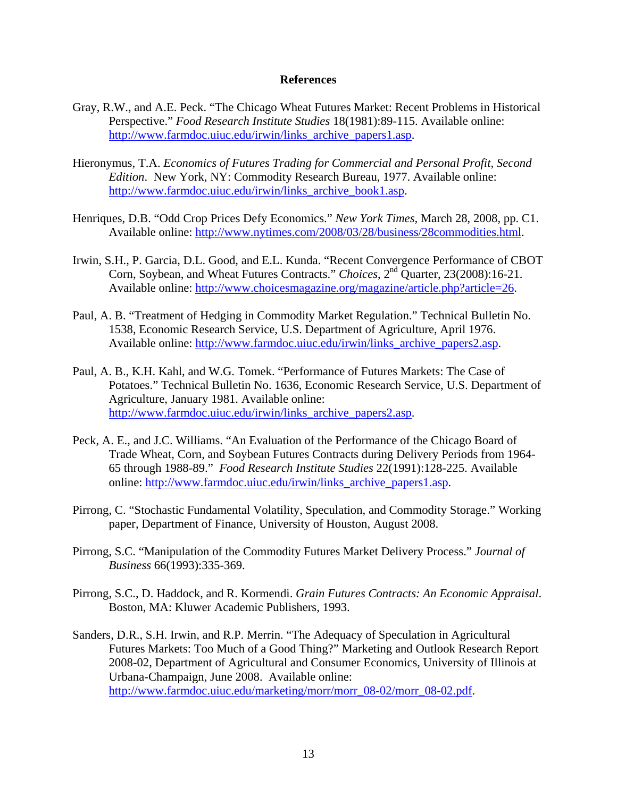#### **References**

- Gray, R.W., and A.E. Peck. "The Chicago Wheat Futures Market: Recent Problems in Historical Perspective." *Food Research Institute Studies* 18(1981):89-115. Available online: http://www.farmdoc.uiuc.edu/irwin/links\_archive\_papers1.asp.
- Hieronymus, T.A. *Economics of Futures Trading for Commercial and Personal Profit, Second Edition*. New York, NY: Commodity Research Bureau, 1977. Available online: http://www.farmdoc.uiuc.edu/irwin/links\_archive\_book1.asp.
- Henriques, D.B. "Odd Crop Prices Defy Economics." *New York Times,* March 28, 2008, pp. C1. Available online: http://www.nytimes.com/2008/03/28/business/28commodities.html.
- Irwin, S.H., P. Garcia, D.L. Good, and E.L. Kunda. "Recent Convergence Performance of CBOT Corn, Soybean, and Wheat Futures Contracts." *Choices*, 2<sup>nd</sup> Quarter, 23(2008):16-21. Available online: http://www.choicesmagazine.org/magazine/article.php?article=26.
- Paul, A. B. "Treatment of Hedging in Commodity Market Regulation." Technical Bulletin No. 1538, Economic Research Service, U.S. Department of Agriculture, April 1976. Available online: http://www.farmdoc.uiuc.edu/irwin/links\_archive\_papers2.asp.
- Paul, A. B., K.H. Kahl, and W.G. Tomek. "Performance of Futures Markets: The Case of Potatoes." Technical Bulletin No. 1636, Economic Research Service, U.S. Department of Agriculture, January 1981. Available online: http://www.farmdoc.uiuc.edu/irwin/links archive papers2.asp.
- Peck, A. E., and J.C. Williams. "An Evaluation of the Performance of the Chicago Board of Trade Wheat, Corn, and Soybean Futures Contracts during Delivery Periods from 1964- 65 through 1988-89." *Food Research Institute Studies* 22(1991):128-225. Available online: http://www.farmdoc.uiuc.edu/irwin/links\_archive\_papers1.asp.
- Pirrong, C. "Stochastic Fundamental Volatility, Speculation, and Commodity Storage." Working paper, Department of Finance, University of Houston, August 2008.
- Pirrong, S.C. "Manipulation of the Commodity Futures Market Delivery Process." *Journal of Business* 66(1993):335-369.
- Pirrong, S.C., D. Haddock, and R. Kormendi. *Grain Futures Contracts: An Economic Appraisal*. Boston, MA: Kluwer Academic Publishers, 1993.
- Sanders, D.R., S.H. Irwin, and R.P. Merrin. "The Adequacy of Speculation in Agricultural Futures Markets: Too Much of a Good Thing?" Marketing and Outlook Research Report 2008-02, Department of Agricultural and Consumer Economics, University of Illinois at Urbana-Champaign, June 2008. Available online: http://www.farmdoc.uiuc.edu/marketing/morr/morr\_08-02/morr\_08-02.pdf.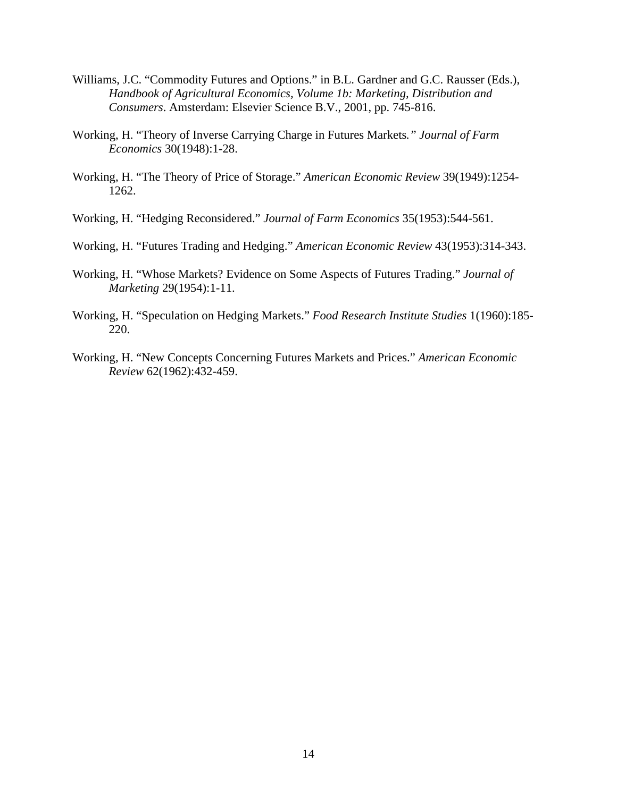- Williams, J.C. "Commodity Futures and Options." in B.L. Gardner and G.C. Rausser (Eds.), *Handbook of Agricultural Economics, Volume 1b: Marketing, Distribution and Consumers*. Amsterdam: Elsevier Science B.V., 2001, pp. 745-816.
- Working, H. "Theory of Inverse Carrying Charge in Futures Markets*." Journal of Farm Economics* 30(1948):1-28.
- Working, H. "The Theory of Price of Storage." *American Economic Review* 39(1949):1254- 1262.
- Working, H. "Hedging Reconsidered." *Journal of Farm Economics* 35(1953):544-561.
- Working, H. "Futures Trading and Hedging." *American Economic Review* 43(1953):314-343.
- Working, H. "Whose Markets? Evidence on Some Aspects of Futures Trading." *Journal of Marketing* 29(1954):1-11.
- Working, H. "Speculation on Hedging Markets." *Food Research Institute Studies* 1(1960):185- 220.
- Working, H. "New Concepts Concerning Futures Markets and Prices." *American Economic Review* 62(1962):432-459.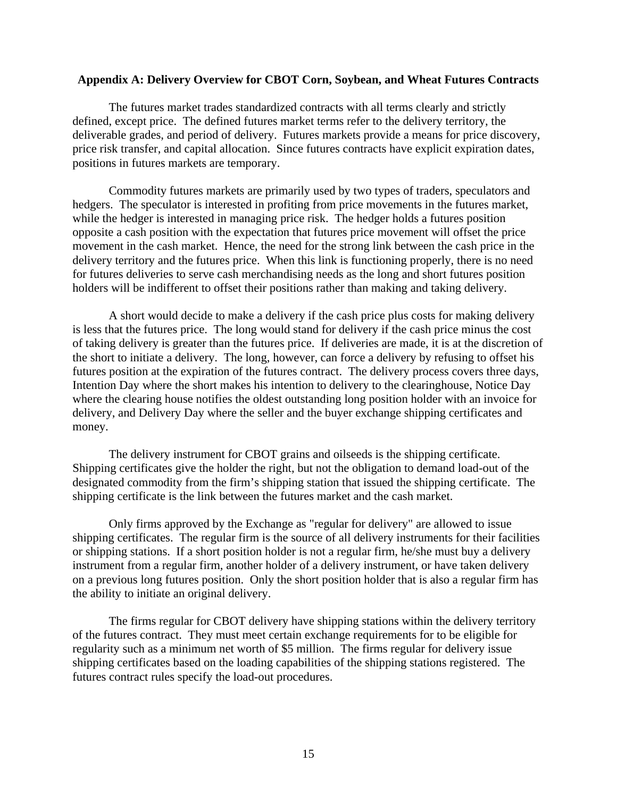## **Appendix A: Delivery Overview for CBOT Corn, Soybean, and Wheat Futures Contracts**

The futures market trades standardized contracts with all terms clearly and strictly defined, except price. The defined futures market terms refer to the delivery territory, the deliverable grades, and period of delivery. Futures markets provide a means for price discovery, price risk transfer, and capital allocation. Since futures contracts have explicit expiration dates, positions in futures markets are temporary.

Commodity futures markets are primarily used by two types of traders, speculators and hedgers. The speculator is interested in profiting from price movements in the futures market, while the hedger is interested in managing price risk. The hedger holds a futures position opposite a cash position with the expectation that futures price movement will offset the price movement in the cash market. Hence, the need for the strong link between the cash price in the delivery territory and the futures price. When this link is functioning properly, there is no need for futures deliveries to serve cash merchandising needs as the long and short futures position holders will be indifferent to offset their positions rather than making and taking delivery.

A short would decide to make a delivery if the cash price plus costs for making delivery is less that the futures price. The long would stand for delivery if the cash price minus the cost of taking delivery is greater than the futures price. If deliveries are made, it is at the discretion of the short to initiate a delivery. The long, however, can force a delivery by refusing to offset his futures position at the expiration of the futures contract. The delivery process covers three days, Intention Day where the short makes his intention to delivery to the clearinghouse, Notice Day where the clearing house notifies the oldest outstanding long position holder with an invoice for delivery, and Delivery Day where the seller and the buyer exchange shipping certificates and money.

The delivery instrument for CBOT grains and oilseeds is the shipping certificate. Shipping certificates give the holder the right, but not the obligation to demand load-out of the designated commodity from the firm's shipping station that issued the shipping certificate. The shipping certificate is the link between the futures market and the cash market.

Only firms approved by the Exchange as "regular for delivery" are allowed to issue shipping certificates. The regular firm is the source of all delivery instruments for their facilities or shipping stations. If a short position holder is not a regular firm, he/she must buy a delivery instrument from a regular firm, another holder of a delivery instrument, or have taken delivery on a previous long futures position. Only the short position holder that is also a regular firm has the ability to initiate an original delivery.

The firms regular for CBOT delivery have shipping stations within the delivery territory of the futures contract. They must meet certain exchange requirements for to be eligible for regularity such as a minimum net worth of \$5 million. The firms regular for delivery issue shipping certificates based on the loading capabilities of the shipping stations registered. The futures contract rules specify the load-out procedures.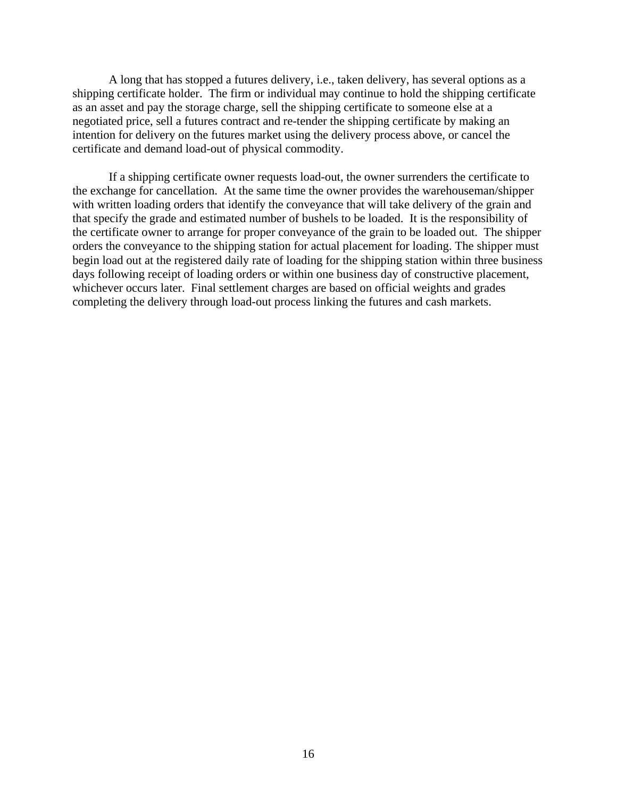A long that has stopped a futures delivery, i.e., taken delivery, has several options as a shipping certificate holder. The firm or individual may continue to hold the shipping certificate as an asset and pay the storage charge, sell the shipping certificate to someone else at a negotiated price, sell a futures contract and re-tender the shipping certificate by making an intention for delivery on the futures market using the delivery process above, or cancel the certificate and demand load-out of physical commodity.

If a shipping certificate owner requests load-out, the owner surrenders the certificate to the exchange for cancellation. At the same time the owner provides the warehouseman/shipper with written loading orders that identify the conveyance that will take delivery of the grain and that specify the grade and estimated number of bushels to be loaded. It is the responsibility of the certificate owner to arrange for proper conveyance of the grain to be loaded out. The shipper orders the conveyance to the shipping station for actual placement for loading. The shipper must begin load out at the registered daily rate of loading for the shipping station within three business days following receipt of loading orders or within one business day of constructive placement, whichever occurs later. Final settlement charges are based on official weights and grades completing the delivery through load-out process linking the futures and cash markets.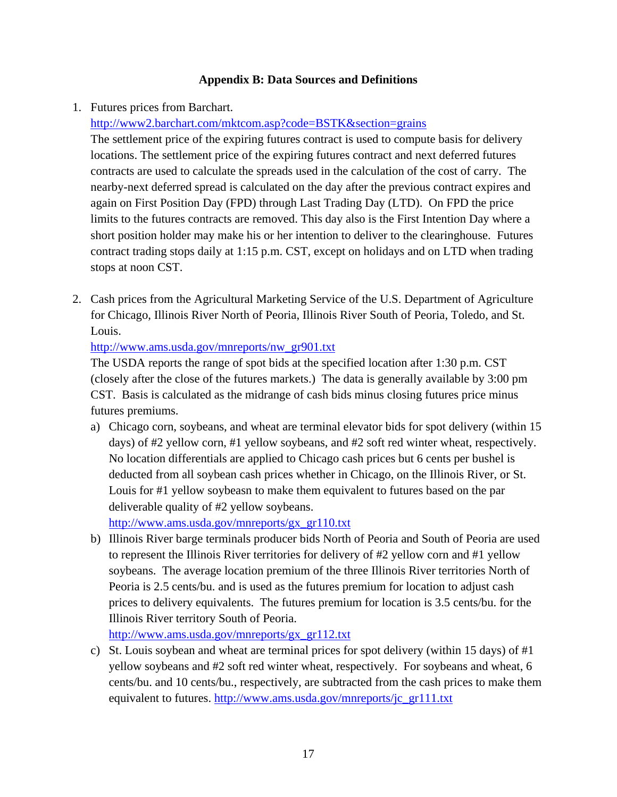# **Appendix B: Data Sources and Definitions**

1. Futures prices from Barchart.

# http://www2.barchart.com/mktcom.asp?code=BSTK&section=grains

The settlement price of the expiring futures contract is used to compute basis for delivery locations. The settlement price of the expiring futures contract and next deferred futures contracts are used to calculate the spreads used in the calculation of the cost of carry. The nearby-next deferred spread is calculated on the day after the previous contract expires and again on First Position Day (FPD) through Last Trading Day (LTD). On FPD the price limits to the futures contracts are removed. This day also is the First Intention Day where a short position holder may make his or her intention to deliver to the clearinghouse. Futures contract trading stops daily at 1:15 p.m. CST, except on holidays and on LTD when trading stops at noon CST.

2. Cash prices from the Agricultural Marketing Service of the U.S. Department of Agriculture for Chicago, Illinois River North of Peoria, Illinois River South of Peoria, Toledo, and St. Louis.

# http://www.ams.usda.gov/mnreports/nw\_gr901.txt

The USDA reports the range of spot bids at the specified location after 1:30 p.m. CST (closely after the close of the futures markets.) The data is generally available by 3:00 pm CST. Basis is calculated as the midrange of cash bids minus closing futures price minus futures premiums.

a) Chicago corn, soybeans, and wheat are terminal elevator bids for spot delivery (within 15 days) of #2 yellow corn, #1 yellow soybeans, and #2 soft red winter wheat, respectively. No location differentials are applied to Chicago cash prices but 6 cents per bushel is deducted from all soybean cash prices whether in Chicago, on the Illinois River, or St. Louis for #1 yellow soybeasn to make them equivalent to futures based on the par deliverable quality of #2 yellow soybeans.

http://www.ams.usda.gov/mnreports/gx\_gr110.txt

b) Illinois River barge terminals producer bids North of Peoria and South of Peoria are used to represent the Illinois River territories for delivery of #2 yellow corn and #1 yellow soybeans. The average location premium of the three Illinois River territories North of Peoria is 2.5 cents/bu. and is used as the futures premium for location to adjust cash prices to delivery equivalents. The futures premium for location is 3.5 cents/bu. for the Illinois River territory South of Peoria.

http://www.ams.usda.gov/mnreports/gx\_gr112.txt

c) St. Louis soybean and wheat are terminal prices for spot delivery (within 15 days) of  $#1$ yellow soybeans and #2 soft red winter wheat, respectively. For soybeans and wheat, 6 cents/bu. and 10 cents/bu., respectively, are subtracted from the cash prices to make them equivalent to futures. http://www.ams.usda.gov/mnreports/jc\_gr111.txt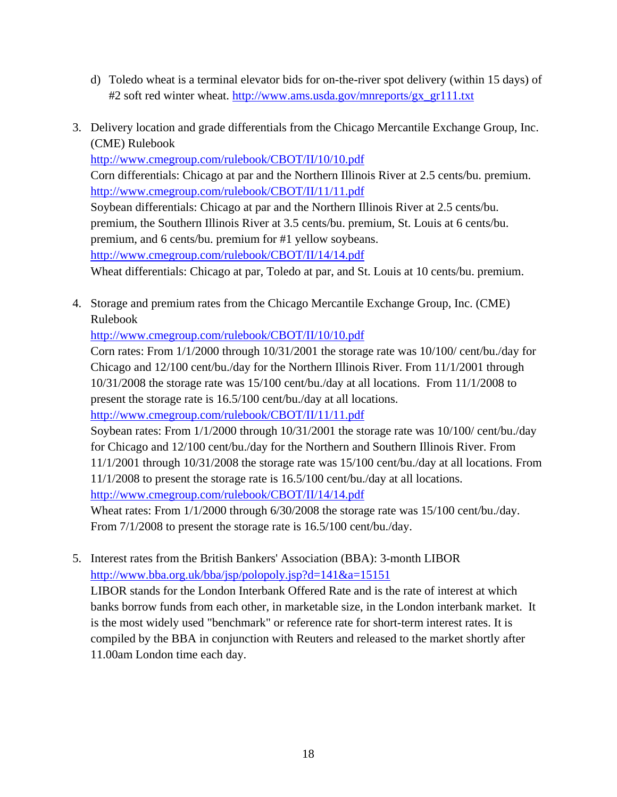- d) Toledo wheat is a terminal elevator bids for on-the-river spot delivery (within 15 days) of #2 soft red winter wheat. http://www.ams.usda.gov/mnreports/gx\_gr111.txt
- 3. Delivery location and grade differentials from the Chicago Mercantile Exchange Group, Inc. (CME) Rulebook

http://www.cmegroup.com/rulebook/CBOT/II/10/10.pdf Corn differentials: Chicago at par and the Northern Illinois River at 2.5 cents/bu. premium. http://www.cmegroup.com/rulebook/CBOT/II/11/11.pdf Soybean differentials: Chicago at par and the Northern Illinois River at 2.5 cents/bu. premium, the Southern Illinois River at 3.5 cents/bu. premium, St. Louis at 6 cents/bu. premium, and 6 cents/bu. premium for #1 yellow soybeans. http://www.cmegroup.com/rulebook/CBOT/II/14/14.pdf

Wheat differentials: Chicago at par, Toledo at par, and St. Louis at 10 cents/bu. premium.

4. Storage and premium rates from the Chicago Mercantile Exchange Group, Inc. (CME) Rulebook

http://www.cmegroup.com/rulebook/CBOT/II/10/10.pdf

Corn rates: From 1/1/2000 through 10/31/2001 the storage rate was 10/100/ cent/bu./day for Chicago and 12/100 cent/bu./day for the Northern Illinois River. From 11/1/2001 through 10/31/2008 the storage rate was 15/100 cent/bu./day at all locations. From 11/1/2008 to present the storage rate is 16.5/100 cent/bu./day at all locations.

http://www.cmegroup.com/rulebook/CBOT/II/11/11.pdf

Soybean rates: From 1/1/2000 through 10/31/2001 the storage rate was 10/100/ cent/bu./day for Chicago and 12/100 cent/bu./day for the Northern and Southern Illinois River. From 11/1/2001 through 10/31/2008 the storage rate was 15/100 cent/bu./day at all locations. From 11/1/2008 to present the storage rate is 16.5/100 cent/bu./day at all locations. http://www.cmegroup.com/rulebook/CBOT/II/14/14.pdf

Wheat rates: From 1/1/2000 through 6/30/2008 the storage rate was 15/100 cent/bu./day. From  $7/1/2008$  to present the storage rate is 16.5/100 cent/bu./day.

5. Interest rates from the British Bankers' Association (BBA): 3-month LIBOR http://www.bba.org.uk/bba/jsp/polopoly.jsp?d=141&a=15151 LIBOR stands for the London Interbank Offered Rate and is the rate of interest at which banks borrow funds from each other, in marketable size, in the London interbank market. It is the most widely used "benchmark" or reference rate for short-term interest rates. It is compiled by the BBA in conjunction with Reuters and released to the market shortly after 11.00am London time each day.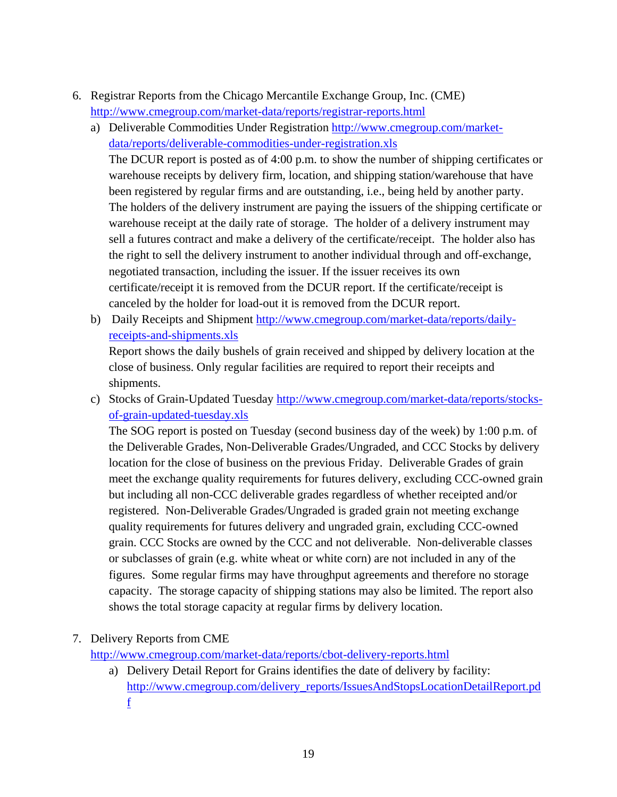- 6. Registrar Reports from the Chicago Mercantile Exchange Group, Inc. (CME) http://www.cmegroup.com/market-data/reports/registrar-reports.html
	- a) Deliverable Commodities Under Registration http://www.cmegroup.com/marketdata/reports/deliverable-commodities-under-registration.xls

The DCUR report is posted as of 4:00 p.m. to show the number of shipping certificates or warehouse receipts by delivery firm, location, and shipping station/warehouse that have been registered by regular firms and are outstanding, i.e., being held by another party. The holders of the delivery instrument are paying the issuers of the shipping certificate or warehouse receipt at the daily rate of storage. The holder of a delivery instrument may sell a futures contract and make a delivery of the certificate/receipt. The holder also has the right to sell the delivery instrument to another individual through and off-exchange, negotiated transaction, including the issuer. If the issuer receives its own certificate/receipt it is removed from the DCUR report. If the certificate/receipt is canceled by the holder for load-out it is removed from the DCUR report.

b) Daily Receipts and Shipment http://www.cmegroup.com/market-data/reports/dailyreceipts-and-shipments.xls

Report shows the daily bushels of grain received and shipped by delivery location at the close of business. Only regular facilities are required to report their receipts and shipments.

c) Stocks of Grain-Updated Tuesday http://www.cmegroup.com/market-data/reports/stocksof-grain-updated-tuesday.xls

The SOG report is posted on Tuesday (second business day of the week) by 1:00 p.m. of the Deliverable Grades, Non-Deliverable Grades/Ungraded, and CCC Stocks by delivery location for the close of business on the previous Friday. Deliverable Grades of grain meet the exchange quality requirements for futures delivery, excluding CCC-owned grain but including all non-CCC deliverable grades regardless of whether receipted and/or registered. Non-Deliverable Grades/Ungraded is graded grain not meeting exchange quality requirements for futures delivery and ungraded grain, excluding CCC-owned grain. CCC Stocks are owned by the CCC and not deliverable. Non-deliverable classes or subclasses of grain (e.g. white wheat or white corn) are not included in any of the figures. Some regular firms may have throughput agreements and therefore no storage capacity. The storage capacity of shipping stations may also be limited. The report also shows the total storage capacity at regular firms by delivery location.

# 7. Delivery Reports from CME

http://www.cmegroup.com/market-data/reports/cbot-delivery-reports.html

a) Delivery Detail Report for Grains identifies the date of delivery by facility: http://www.cmegroup.com/delivery\_reports/IssuesAndStopsLocationDetailReport.pd f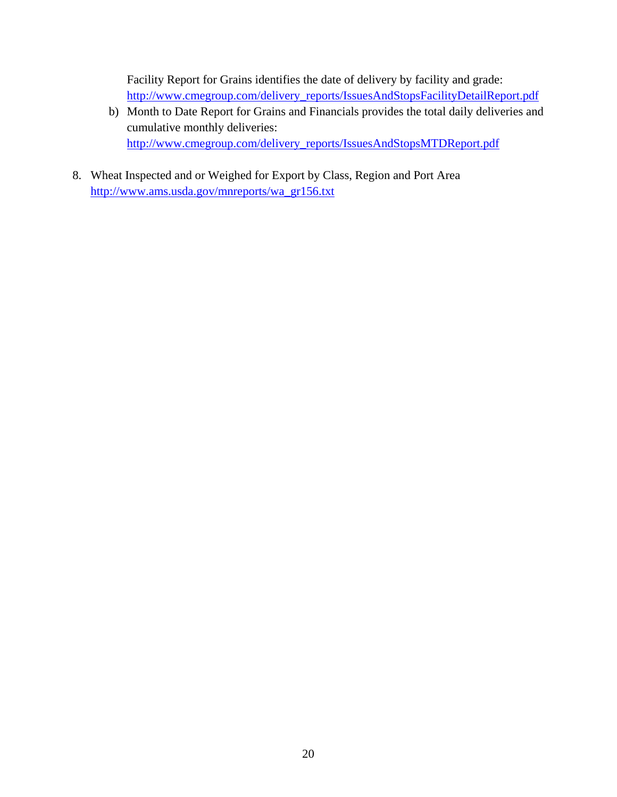Facility Report for Grains identifies the date of delivery by facility and grade: http://www.cmegroup.com/delivery\_reports/IssuesAndStopsFacilityDetailReport.pdf

- b) Month to Date Report for Grains and Financials provides the total daily deliveries and cumulative monthly deliveries: http://www.cmegroup.com/delivery\_reports/IssuesAndStopsMTDReport.pdf
- 8. Wheat Inspected and or Weighed for Export by Class, Region and Port Area http://www.ams.usda.gov/mnreports/wa\_gr156.txt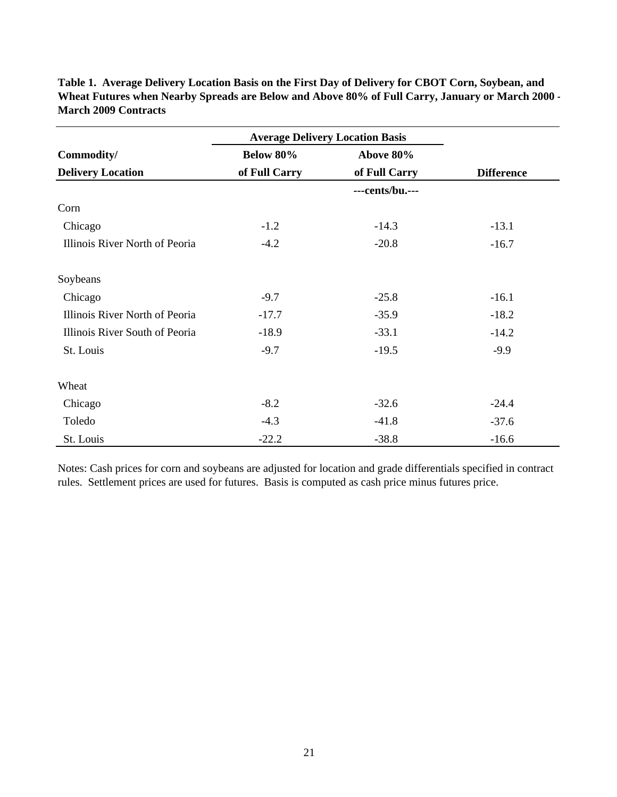|                                | <b>Average Delivery Location Basis</b> |                  |                    |  |
|--------------------------------|----------------------------------------|------------------|--------------------|--|
| Commodity/                     | <b>Below 80%</b>                       | Above 80%        | <b>Difference</b>  |  |
| <b>Delivery Location</b>       | of Full Carry                          | of Full Carry    |                    |  |
|                                |                                        | ---cents/bu .--- |                    |  |
| Corn                           |                                        |                  |                    |  |
| Chicago                        | $-1.2$                                 | $-14.3$          | $-13.1$<br>$-16.7$ |  |
| Illinois River North of Peoria | $-4.2$                                 | $-20.8$          |                    |  |
| Soybeans                       |                                        |                  |                    |  |
| Chicago                        | $-9.7$                                 | $-25.8$          | $-16.1$            |  |
| Illinois River North of Peoria | $-17.7$                                | $-35.9$          | $-18.2$            |  |
| Illinois River South of Peoria | $-18.9$                                | $-33.1$          | $-14.2$            |  |
| St. Louis                      | $-9.7$                                 | $-19.5$          | $-9.9$             |  |
| Wheat                          |                                        |                  |                    |  |
| Chicago                        | $-8.2$                                 | $-32.6$          | $-24.4$            |  |
| Toledo                         | $-4.3$                                 | $-41.8$          | $-37.6$            |  |
| St. Louis                      | $-22.2$                                | $-38.8$          | $-16.6$            |  |

**Table 1. Average Delivery Location Basis on the First Day of Delivery for CBOT Corn, Soybean, and Wheat Futures when Nearby Spreads are Below and Above 80% of Full Carry, January or March 2000 - March 2009 Contracts**

Notes: Cash prices for corn and soybeans are adjusted for location and grade differentials specified in contract rules. Settlement prices are used for futures. Basis is computed as cash price minus futures price.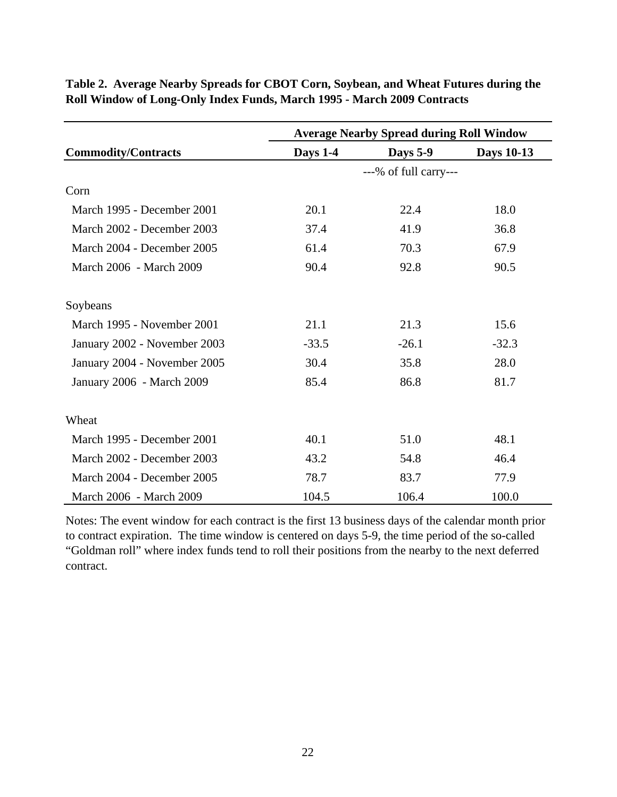|                              | <b>Average Nearby Spread during Roll Window</b> |                        |                   |  |
|------------------------------|-------------------------------------------------|------------------------|-------------------|--|
| <b>Commodity/Contracts</b>   | Days 1-4                                        | <b>Days 5-9</b>        | <b>Days 10-13</b> |  |
|                              |                                                 | $--%$ of full carry--- |                   |  |
| Corn                         |                                                 |                        |                   |  |
| March 1995 - December 2001   | 20.1                                            | 22.4                   | 18.0              |  |
| March 2002 - December 2003   | 37.4                                            | 41.9                   | 36.8              |  |
| March 2004 - December 2005   | 61.4                                            | 70.3                   | 67.9              |  |
| March 2006 - March 2009      | 90.4                                            | 92.8                   | 90.5              |  |
| Soybeans                     |                                                 |                        |                   |  |
| March 1995 - November 2001   | 21.1                                            | 21.3                   | 15.6              |  |
| January 2002 - November 2003 | $-33.5$                                         | $-26.1$                | $-32.3$           |  |
| January 2004 - November 2005 | 30.4                                            | 35.8                   | 28.0              |  |
| January 2006 - March 2009    | 85.4                                            | 86.8                   | 81.7              |  |
| Wheat                        |                                                 |                        |                   |  |
| March 1995 - December 2001   | 40.1                                            | 51.0                   | 48.1              |  |
| March 2002 - December 2003   | 43.2                                            | 54.8                   | 46.4              |  |
| March 2004 - December 2005   | 78.7                                            | 83.7                   | 77.9              |  |
| March 2006 - March 2009      | 104.5                                           | 106.4                  | 100.0             |  |

**Table 2. Average Nearby Spreads for CBOT Corn, Soybean, and Wheat Futures during the Roll Window of Long-Only Index Funds, March 1995 - March 2009 Contracts**

Notes: The event window for each contract is the first 13 business days of the calendar month prior to contract expiration. The time window is centered on days 5-9, the time period of the so-called "Goldman roll" where index funds tend to roll their positions from the nearby to the next deferred contract.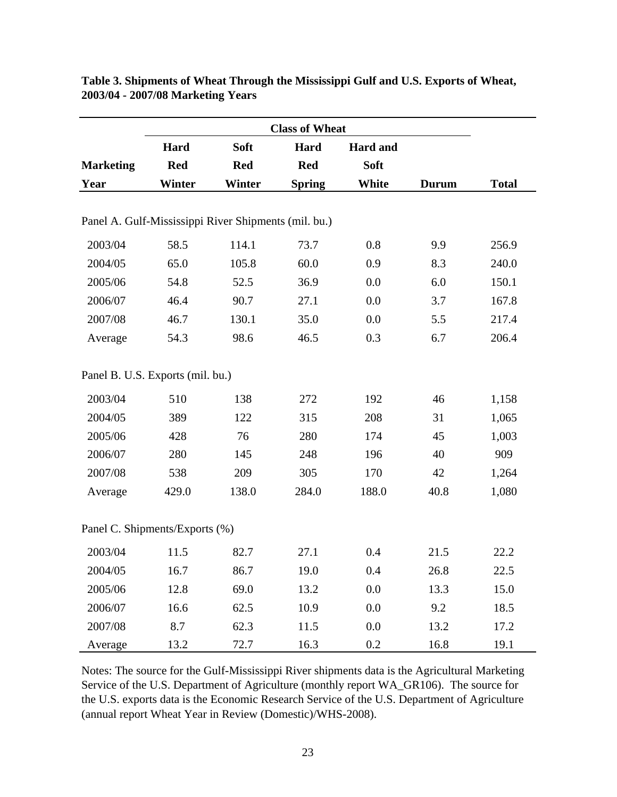|                                                      | Hard          | Soft       | Hard          | <b>Hard</b> and |              |              |
|------------------------------------------------------|---------------|------------|---------------|-----------------|--------------|--------------|
| <b>Marketing</b>                                     | <b>Red</b>    | <b>Red</b> | <b>Red</b>    | Soft            |              |              |
| Year                                                 | <b>Winter</b> | Winter     | <b>Spring</b> | White           | <b>Durum</b> | <b>Total</b> |
| Panel A. Gulf-Mississippi River Shipments (mil. bu.) |               |            |               |                 |              |              |
| 2003/04                                              | 58.5          | 114.1      | 73.7          | 0.8             | 9.9          | 256.9        |
| 2004/05                                              | 65.0          | 105.8      | 60.0          | 0.9             | 8.3          | 240.0        |
| 2005/06                                              | 54.8          | 52.5       | 36.9          | 0.0             | 6.0          | 150.1        |
| 2006/07                                              | 46.4          | 90.7       | 27.1          | 0.0             | 3.7          | 167.8        |
| 2007/08                                              | 46.7          | 130.1      | 35.0          | 0.0             | 5.5          | 217.4        |
| Average                                              | 54.3          | 98.6       | 46.5          | 0.3             | 6.7          | 206.4        |
| Panel B. U.S. Exports (mil. bu.)                     |               |            |               |                 |              |              |
| 2003/04                                              | 510           | 138        | 272           | 192             | 46           | 1,158        |
| 2004/05                                              | 389           | 122        | 315           | 208             | 31           | 1,065        |
| 2005/06                                              | 428           | 76         | 280           | 174             | 45           | 1,003        |
| 2006/07                                              | 280           | 145        | 248           | 196             | 40           | 909          |
| 2007/08                                              | 538           | 209        | 305           | 170             | 42           | 1,264        |
| Average                                              | 429.0         | 138.0      | 284.0         | 188.0           | 40.8         | 1,080        |
| Panel C. Shipments/Exports (%)                       |               |            |               |                 |              |              |
| 2003/04                                              | 11.5          | 82.7       | 27.1          | 0.4             | 21.5         | 22.2         |
| 2004/05                                              | 16.7          | 86.7       | 19.0          | 0.4             | 26.8         | 22.5         |
| 2005/06                                              | 12.8          | 69.0       | 13.2          | 0.0             | 13.3         | 15.0         |
| 2006/07                                              | 16.6          | 62.5       | 10.9          | 0.0             | 9.2          | 18.5         |
| 2007/08                                              | 8.7           | 62.3       | 11.5          | 0.0             | 13.2         | 17.2         |
| Average                                              | 13.2          | 72.7       | 16.3          | 0.2             | 16.8         | 19.1         |

**Table 3. Shipments of Wheat Through the Mississippi Gulf and U.S. Exports of Wheat, 2003/04 - 2007/08 Marketing Years**

Notes: The source for the Gulf-Mississippi River shipments data is the Agricultural Marketing Service of the U.S. Department of Agriculture (monthly report WA\_GR106). The source for the U.S. exports data is the Economic Research Service of the U.S. Department of Agriculture (annual report Wheat Year in Review (Domestic)/WHS-2008).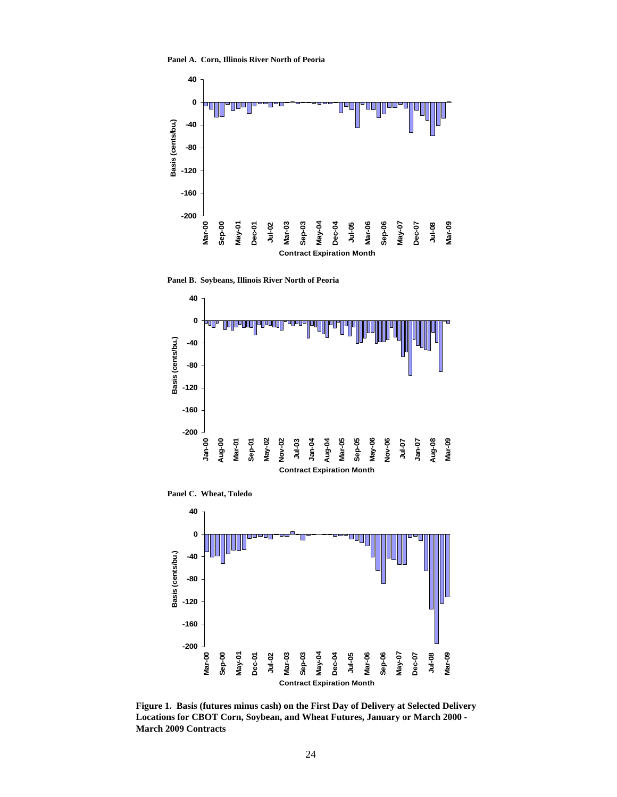**Panel A. Corn, Illinois River North of Peoria**



**Panel B. Soybeans, Illinois River North of Peoria**



**Panel C. Wheat, Toledo**



**Figure 1. Basis (futures minus cash) on the First Day of Delivery at Selected Delivery Locations for CBOT Corn, Soybean, and Wheat Futures, January or March 2000 - March 2009 Contracts**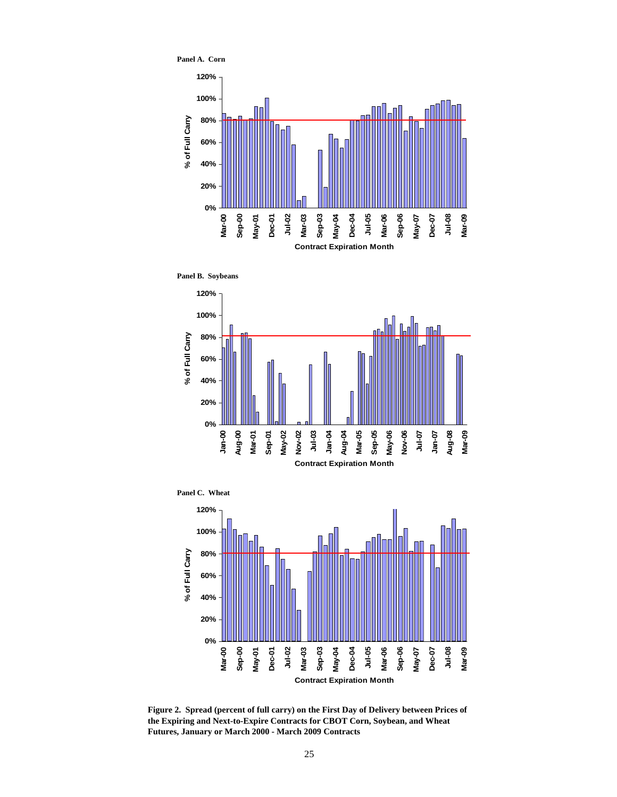

**Panel B. Soybeans**







**Figure 2. Spread (percent of full carry) on the First Day of Delivery between Prices of the Expiring and Next-to-Expire Contracts for CBOT Corn, Soybean, and Wheat Futures, January or March 2000 - March 2009 Contracts**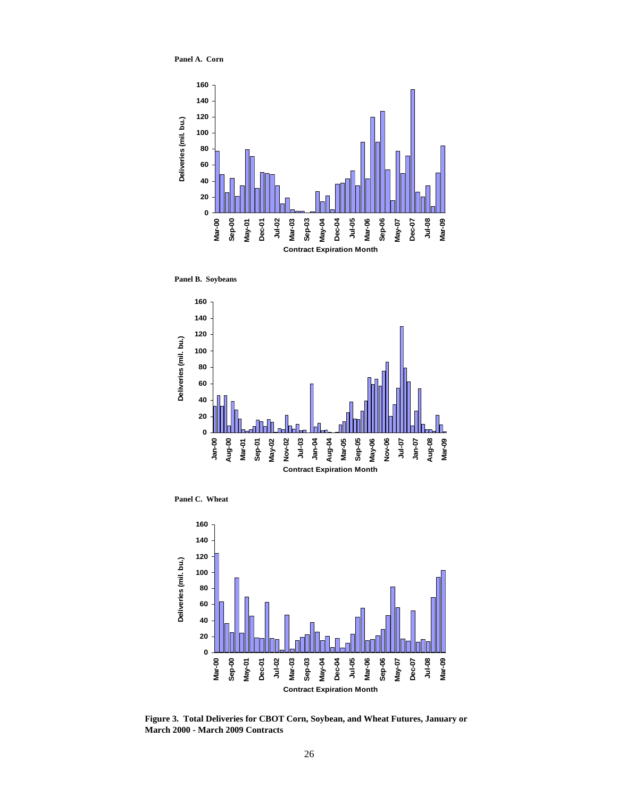**Panel A. Corn**



**Panel B. Soybeans**



**Panel C. Wheat**



**Figure 3. Total Deliveries for CBOT Corn, Soybean, and Wheat Futures, January or March 2000 - March 2009 Contracts**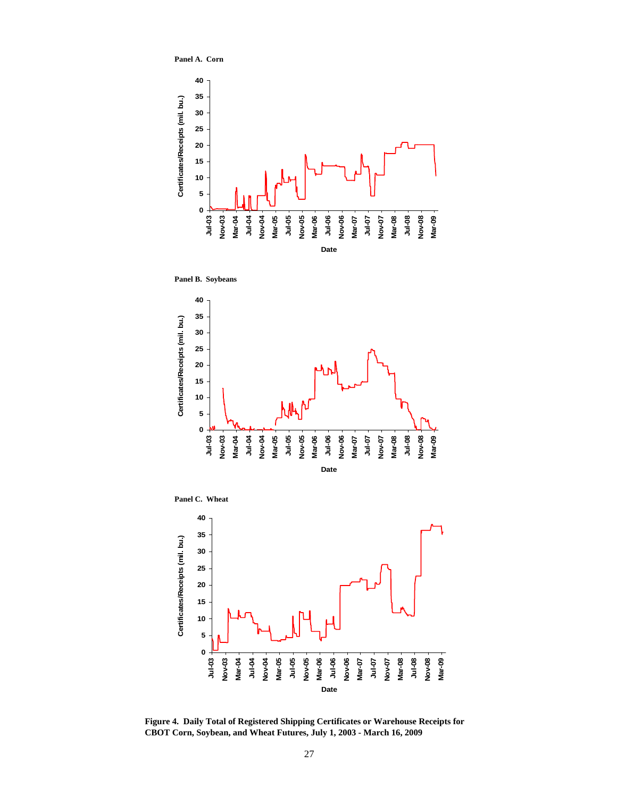**Panel A. Corn**



**Panel B. Soybeans**



**Panel C. Wheat**



**Figure 4. Daily Total of Registered Shipping Certificates or Warehouse Receipts for CBOT Corn, Soybean, and Wheat Futures, July 1, 2003 - March 16, 2009**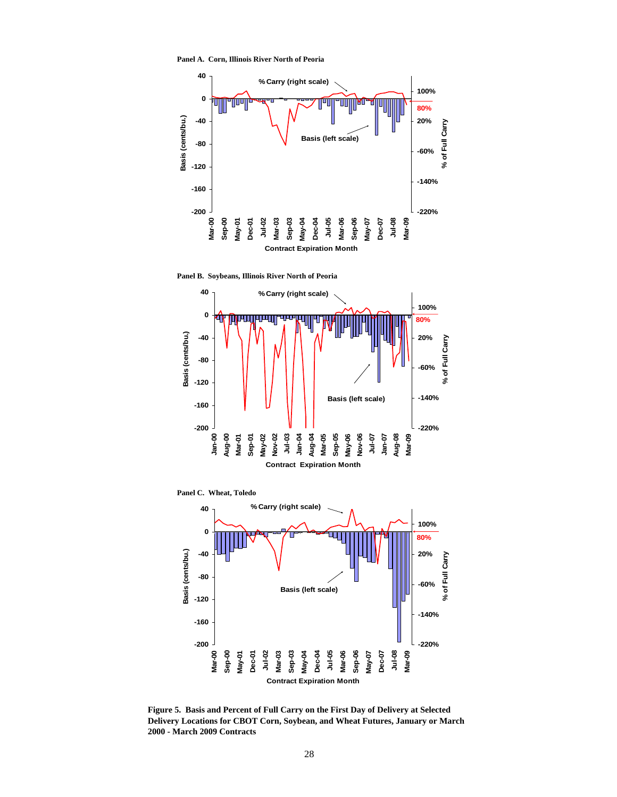**Panel A. Corn, Illinois River North of Peoria**



**Panel B. Soybeans, Illinois River North of Peoria**



**Panel C. Wheat, Toledo**



**Figure 5. Basis and Percent of Full Carry on the First Day of Delivery at Selected Delivery Locations for CBOT Corn, Soybean, and Wheat Futures, January or March 2000 - March 2009 Contracts**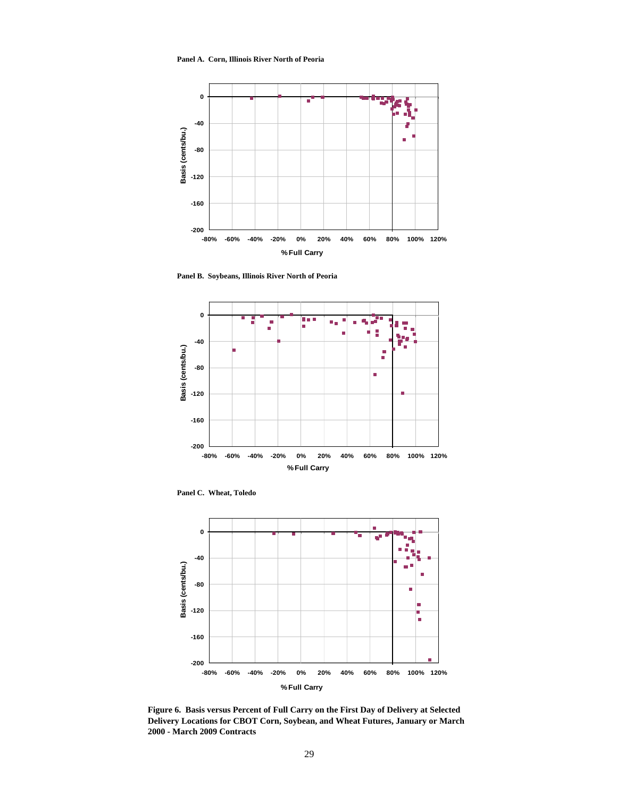**Panel A. Corn, Illinois River North of Peoria**



**Panel B. Soybeans, Illinois River North of Peoria**



**Panel C. Wheat, Toledo**



**Figure 6. Basis versus Percent of Full Carry on the First Day of Delivery at Selected Delivery Locations for CBOT Corn, Soybean, and Wheat Futures, January or March 2000 - March 2009 Contracts**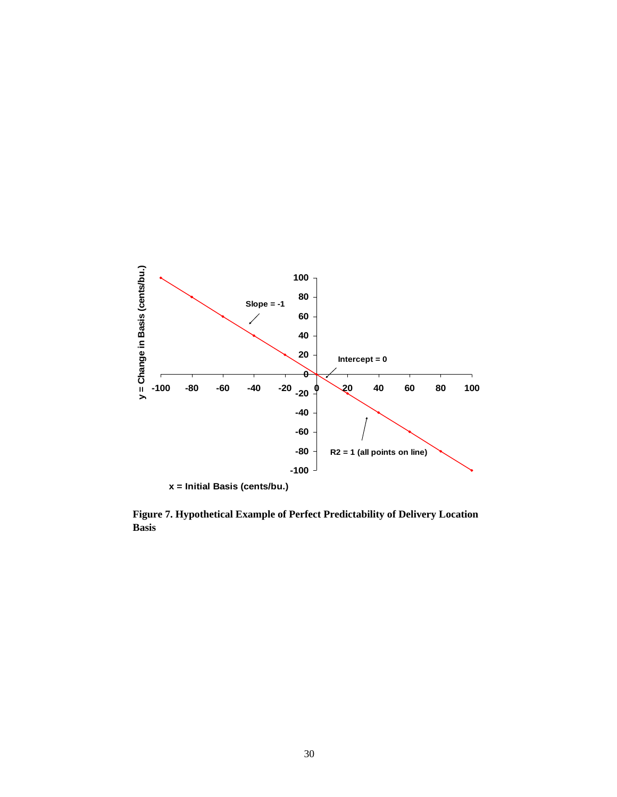

**Figure 7. Hypothetical Example of Perfect Predictability of Delivery Location Basis**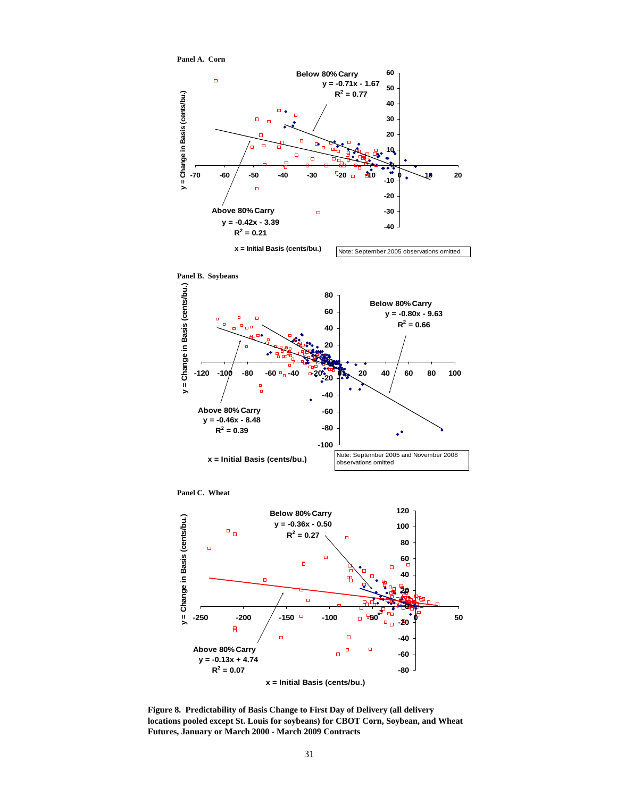

**Figure 8. Predictability of Basis Change to First Day of Delivery (all delivery locations pooled except St. Louis for soybeans) for CBOT Corn, Soybean, and Wheat Futures, January or March 2000 - March 2009 Contracts**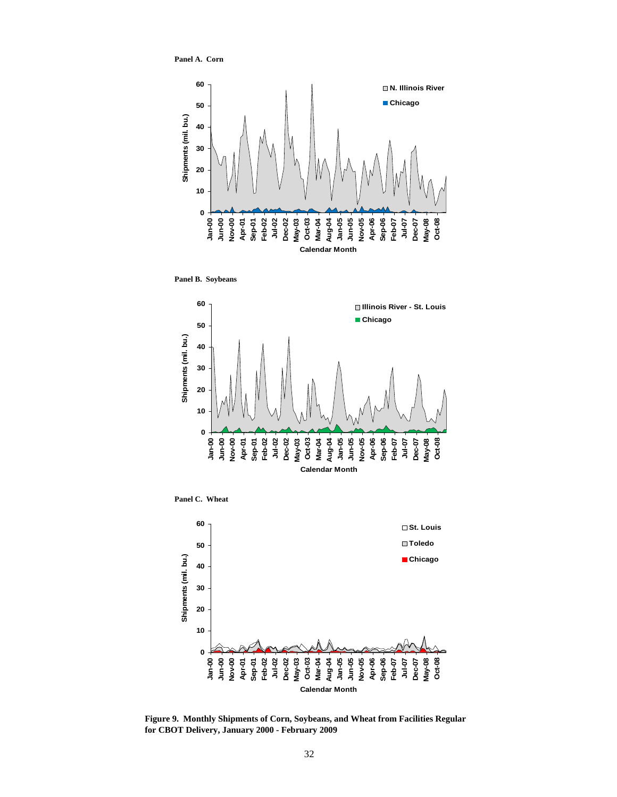**Panel A. Corn**



**Panel B. Soybeans**



**Panel C. Wheat**



**Figure 9. Monthly Shipments of Corn, Soybeans, and Wheat from Facilities Regular for CBOT Delivery, January 2000 - February 2009**